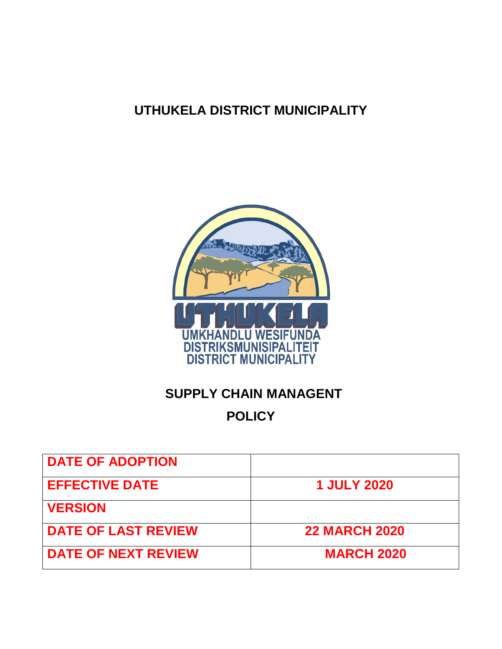# **UTHUKELA DISTRICT MUNICIPALITY**



# **SUPPLY CHAIN MANAGENT**

# **POLICY**

| <b>DATE OF ADOPTION</b>    |                      |
|----------------------------|----------------------|
| <b>EFFECTIVE DATE</b>      | <b>1 JULY 2020</b>   |
| <b>VERSION</b>             |                      |
| <b>DATE OF LAST REVIEW</b> | <b>22 MARCH 2020</b> |
| <b>DATE OF NEXT REVIEW</b> | <b>MARCH 2020</b>    |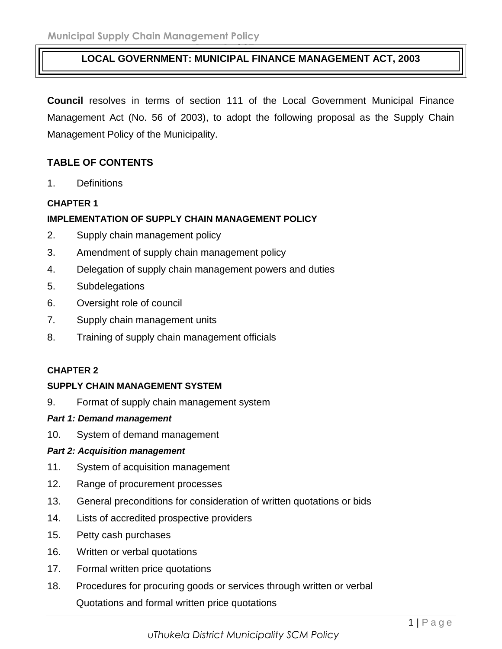#### **Page 1 of 37 LOCAL GOVERNMENT: MUNICIPAL FINANCE MANAGEMENT ACT, 2003**

**Council** resolves in terms of section 111 of the Local Government Municipal Finance Management Act (No. 56 of 2003), to adopt the following proposal as the Supply Chain Management Policy of the Municipality.

## **TABLE OF CONTENTS**

1. Definitions

#### **CHAPTER 1**

#### **IMPLEMENTATION OF SUPPLY CHAIN MANAGEMENT POLICY**

- 2. Supply chain management policy
- 3. Amendment of supply chain management policy
- 4. Delegation of supply chain management powers and duties
- 5. Subdelegations
- 6. Oversight role of council
- 7. Supply chain management units
- 8. Training of supply chain management officials

#### **CHAPTER 2**

#### **SUPPLY CHAIN MANAGEMENT SYSTEM**

9. Format of supply chain management system

#### *Part 1: Demand management*

10. System of demand management

#### *Part 2: Acquisition management*

- 11. System of acquisition management
- 12. Range of procurement processes
- 13. General preconditions for consideration of written quotations or bids
- 14. Lists of accredited prospective providers
- 15. Petty cash purchases
- 16. Written or verbal quotations
- 17. Formal written price quotations
- 18. Procedures for procuring goods or services through written or verbal Quotations and formal written price quotations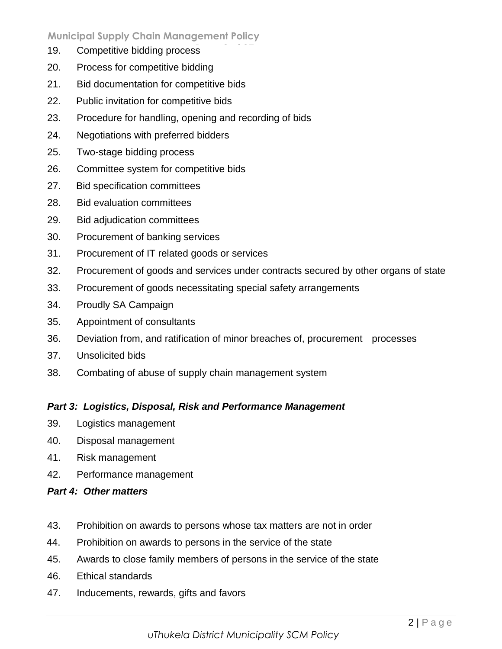- 19. Competitive bidding process
- 20. Process for competitive bidding
- 21. Bid documentation for competitive bids
- 22. Public invitation for competitive bids
- 23. Procedure for handling, opening and recording of bids
- 24. Negotiations with preferred bidders
- 25. Two-stage bidding process
- 26. Committee system for competitive bids
- 27. Bid specification committees
- 28. Bid evaluation committees
- 29. Bid adjudication committees
- 30. Procurement of banking services
- 31. Procurement of IT related goods or services
- 32. Procurement of goods and services under contracts secured by other organs of state
- 33. Procurement of goods necessitating special safety arrangements
- 34. Proudly SA Campaign
- 35. Appointment of consultants
- 36. Deviation from, and ratification of minor breaches of, procurement processes
- 37. Unsolicited bids
- 38. Combating of abuse of supply chain management system

#### *Part 3: Logistics, Disposal, Risk and Performance Management*

- 39. Logistics management
- 40. Disposal management
- 41. Risk management
- 42. Performance management

#### *Part 4: Other matters*

- 43. Prohibition on awards to persons whose tax matters are not in order
- 44. Prohibition on awards to persons in the service of the state
- 45. Awards to close family members of persons in the service of the state
- 46. Ethical standards
- 47. Inducements, rewards, gifts and favors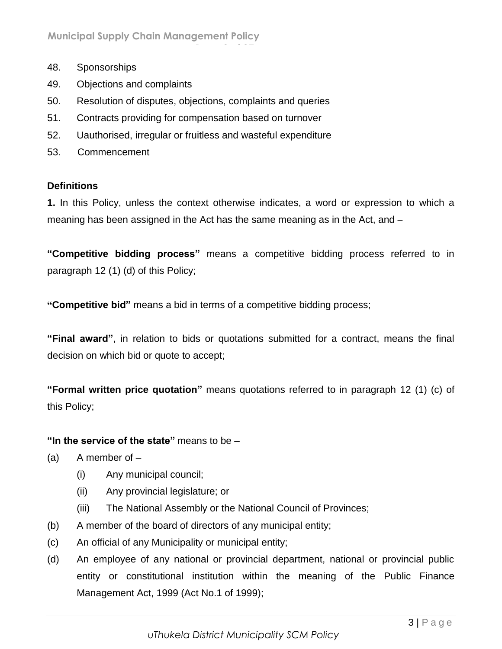- 48. Sponsorships
- 49. Objections and complaints
- 50. Resolution of disputes, objections, complaints and queries

**Page 3 of 37**

- 51. Contracts providing for compensation based on turnover
- 52. Uauthorised, irregular or fruitless and wasteful expenditure
- 53. Commencement

## **Definitions**

**1.** In this Policy, unless the context otherwise indicates, a word or expression to which a meaning has been assigned in the Act has the same meaning as in the Act, and –

**"Competitive bidding process"** means a competitive bidding process referred to in paragraph 12 (1) (d) of this Policy;

**"Competitive bid"** means a bid in terms of a competitive bidding process;

**"Final award"**, in relation to bids or quotations submitted for a contract, means the final decision on which bid or quote to accept;

**"Formal written price quotation"** means quotations referred to in paragraph 12 (1) (c) of this Policy;

## **"In the service of the state"** means to be –

- $(a)$  A member of  $-$ 
	- (i) Any municipal council;
	- (ii) Any provincial legislature; or
	- (iii) The National Assembly or the National Council of Provinces;
- (b) A member of the board of directors of any municipal entity;
- (c) An official of any Municipality or municipal entity;
- (d) An employee of any national or provincial department, national or provincial public entity or constitutional institution within the meaning of the Public Finance Management Act, 1999 (Act No.1 of 1999);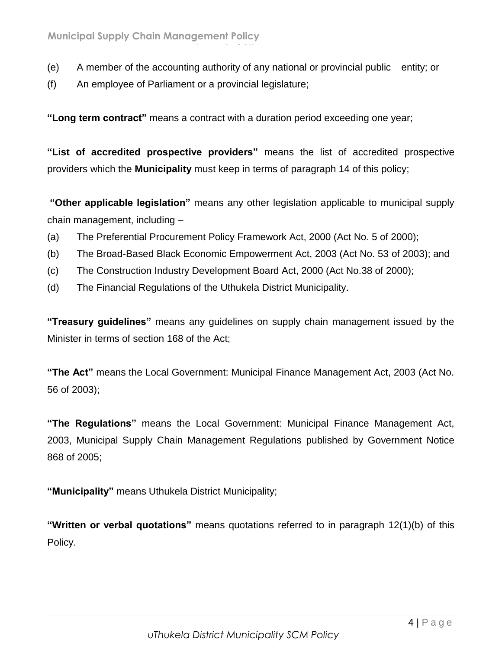- (e) A member of the accounting authority of any national or provincial public entity; or
- (f) An employee of Parliament or a provincial legislature;

**"Long term contract"** means a contract with a duration period exceeding one year;

**Page 4 of 37**

**"List of accredited prospective providers"** means the list of accredited prospective providers which the **Municipality** must keep in terms of paragraph 14 of this policy;

**"Other applicable legislation"** means any other legislation applicable to municipal supply chain management, including –

- (a) The Preferential Procurement Policy Framework Act, 2000 (Act No. 5 of 2000);
- (b) The Broad-Based Black Economic Empowerment Act, 2003 (Act No. 53 of 2003); and
- (c) The Construction Industry Development Board Act, 2000 (Act No.38 of 2000);
- (d) The Financial Regulations of the Uthukela District Municipality.

**"Treasury guidelines"** means any guidelines on supply chain management issued by the Minister in terms of section 168 of the Act;

**"The Act"** means the Local Government: Municipal Finance Management Act, 2003 (Act No. 56 of 2003);

**"The Regulations"** means the Local Government: Municipal Finance Management Act, 2003, Municipal Supply Chain Management Regulations published by Government Notice 868 of 2005;

**"Municipality"** means Uthukela District Municipality;

**"Written or verbal quotations"** means quotations referred to in paragraph 12(1)(b) of this Policy.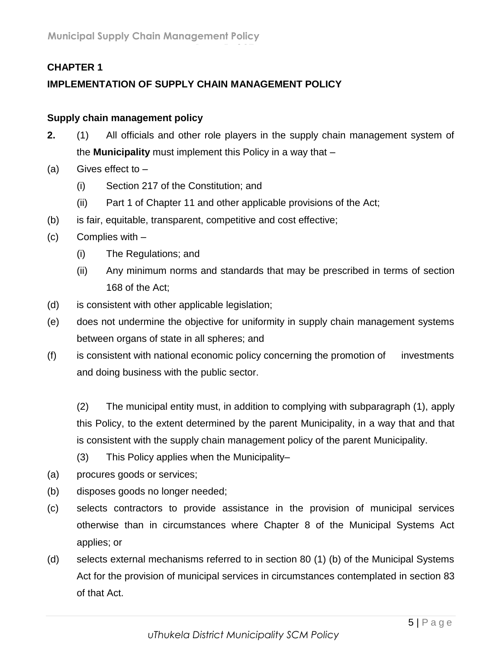## **CHAPTER 1**

## **IMPLEMENTATION OF SUPPLY CHAIN MANAGEMENT POLICY**

## **Supply chain management policy**

- **2.** (1) All officials and other role players in the supply chain management system of the **Municipality** must implement this Policy in a way that –
- (a) Gives effect to  $-$ 
	- (i) Section 217 of the Constitution; and
	- (ii) Part 1 of Chapter 11 and other applicable provisions of the Act;

**Page 5 of 37**

- (b) is fair, equitable, transparent, competitive and cost effective;
- (c) Complies with
	- (i) The Regulations; and
	- (ii) Any minimum norms and standards that may be prescribed in terms of section 168 of the Act;
- (d) is consistent with other applicable legislation;
- (e) does not undermine the objective for uniformity in supply chain management systems between organs of state in all spheres; and
- (f) is consistent with national economic policy concerning the promotion of investments and doing business with the public sector.

(2) The municipal entity must, in addition to complying with subparagraph (1), apply this Policy, to the extent determined by the parent Municipality, in a way that and that is consistent with the supply chain management policy of the parent Municipality.

- (3) This Policy applies when the Municipality–
- (a) procures goods or services;
- (b) disposes goods no longer needed;
- (c) selects contractors to provide assistance in the provision of municipal services otherwise than in circumstances where Chapter 8 of the Municipal Systems Act applies; or
- (d) selects external mechanisms referred to in section 80 (1) (b) of the Municipal Systems Act for the provision of municipal services in circumstances contemplated in section 83 of that Act.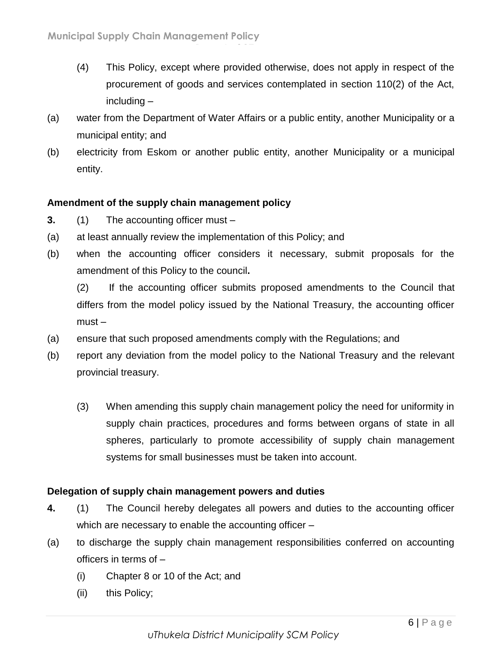- (4) This Policy, except where provided otherwise, does not apply in respect of the procurement of goods and services contemplated in section 110(2) of the Act, including –
- (a) water from the Department of Water Affairs or a public entity, another Municipality or a municipal entity; and

**Page 6 of 37**

(b) electricity from Eskom or another public entity, another Municipality or a municipal entity.

## **Amendment of the supply chain management policy**

- **3.** (1) The accounting officer must –
- (a) at least annually review the implementation of this Policy; and
- (b) when the accounting officer considers it necessary, submit proposals for the amendment of this Policy to the council**.**

(2) If the accounting officer submits proposed amendments to the Council that differs from the model policy issued by the National Treasury, the accounting officer must –

- (a) ensure that such proposed amendments comply with the Regulations; and
- (b) report any deviation from the model policy to the National Treasury and the relevant provincial treasury.
	- (3) When amending this supply chain management policy the need for uniformity in supply chain practices, procedures and forms between organs of state in all spheres, particularly to promote accessibility of supply chain management systems for small businesses must be taken into account.

## **Delegation of supply chain management powers and duties**

- **4.** (1) The Council hereby delegates all powers and duties to the accounting officer which are necessary to enable the accounting officer –
- (a) to discharge the supply chain management responsibilities conferred on accounting officers in terms of –
	- (i) Chapter 8 or 10 of the Act; and
	- (ii) this Policy;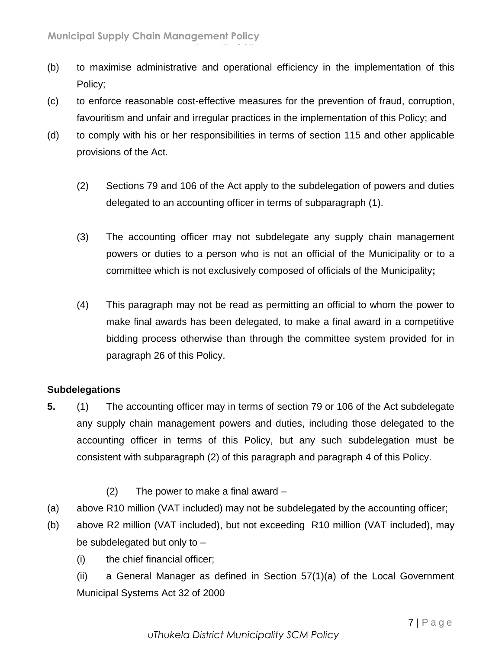(b) to maximise administrative and operational efficiency in the implementation of this Policy;

**Page 7 of 37**

- (c) to enforce reasonable cost-effective measures for the prevention of fraud, corruption, favouritism and unfair and irregular practices in the implementation of this Policy; and
- (d) to comply with his or her responsibilities in terms of section 115 and other applicable provisions of the Act.
	- (2) Sections 79 and 106 of the Act apply to the subdelegation of powers and duties delegated to an accounting officer in terms of subparagraph (1).
	- (3) The accounting officer may not subdelegate any supply chain management powers or duties to a person who is not an official of the Municipality or to a committee which is not exclusively composed of officials of the Municipality**;**
	- (4) This paragraph may not be read as permitting an official to whom the power to make final awards has been delegated, to make a final award in a competitive bidding process otherwise than through the committee system provided for in paragraph 26 of this Policy.

## **Subdelegations**

- **5.** (1) The accounting officer may in terms of section 79 or 106 of the Act subdelegate any supply chain management powers and duties, including those delegated to the accounting officer in terms of this Policy, but any such subdelegation must be consistent with subparagraph (2) of this paragraph and paragraph 4 of this Policy.
	- (2) The power to make a final award –
- (a) above R10 million (VAT included) may not be subdelegated by the accounting officer;
- (b) above R2 million (VAT included), but not exceeding R10 million (VAT included), may be subdelegated but only to –
	- (i) the chief financial officer;

(ii) a General Manager as defined in Section 57(1)(a) of the Local Government Municipal Systems Act 32 of 2000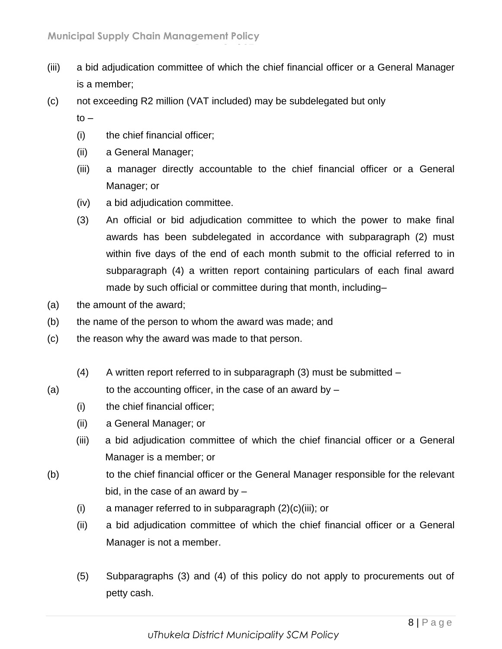- (iii) a bid adjudication committee of which the chief financial officer or a General Manager is a member;
- (c) not exceeding R2 million (VAT included) may be subdelegated but only

**Page 8 of 37**

 $to -$ 

- (i) the chief financial officer;
- (ii) a General Manager;
- (iii) a manager directly accountable to the chief financial officer or a General Manager; or
- (iv) a bid adjudication committee.
- (3) An official or bid adjudication committee to which the power to make final awards has been subdelegated in accordance with subparagraph (2) must within five days of the end of each month submit to the official referred to in subparagraph (4) a written report containing particulars of each final award made by such official or committee during that month, including–
- (a) the amount of the award;
- (b) the name of the person to whom the award was made; and
- (c) the reason why the award was made to that person.
	- (4) A written report referred to in subparagraph  $(3)$  must be submitted  $-$
- (a) to the accounting officer, in the case of an award by  $-$ 
	- (i) the chief financial officer;
	- (ii) a General Manager; or
	- (iii) a bid adjudication committee of which the chief financial officer or a General Manager is a member; or
- (b) to the chief financial officer or the General Manager responsible for the relevant bid, in the case of an award by  $-$ 
	- (i) a manager referred to in subparagraph  $(2)(c)(iii)$ ; or
	- (ii) a bid adjudication committee of which the chief financial officer or a General Manager is not a member.
	- (5) Subparagraphs (3) and (4) of this policy do not apply to procurements out of petty cash.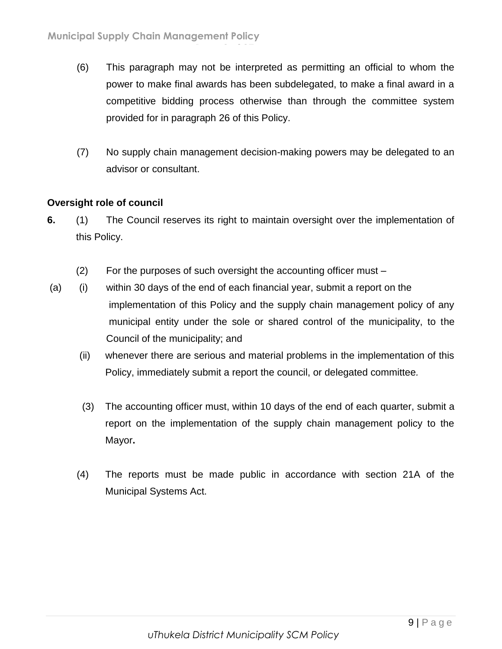- (6) This paragraph may not be interpreted as permitting an official to whom the power to make final awards has been subdelegated, to make a final award in a competitive bidding process otherwise than through the committee system provided for in paragraph 26 of this Policy.
- (7) No supply chain management decision-making powers may be delegated to an advisor or consultant.

## **Oversight role of council**

- **6.** (1) The Council reserves its right to maintain oversight over the implementation of this Policy.
	- (2) For the purposes of such oversight the accounting officer must –

**Page 9 of 37**

- (a) (i) within 30 days of the end of each financial year, submit a report on the implementation of this Policy and the supply chain management policy of any municipal entity under the sole or shared control of the municipality, to the Council of the municipality; and
	- (ii) whenever there are serious and material problems in the implementation of this Policy, immediately submit a report the council, or delegated committee*.*
	- (3) The accounting officer must, within 10 days of the end of each quarter, submit a report on the implementation of the supply chain management policy to the Mayor**.**
	- (4) The reports must be made public in accordance with section 21A of the Municipal Systems Act.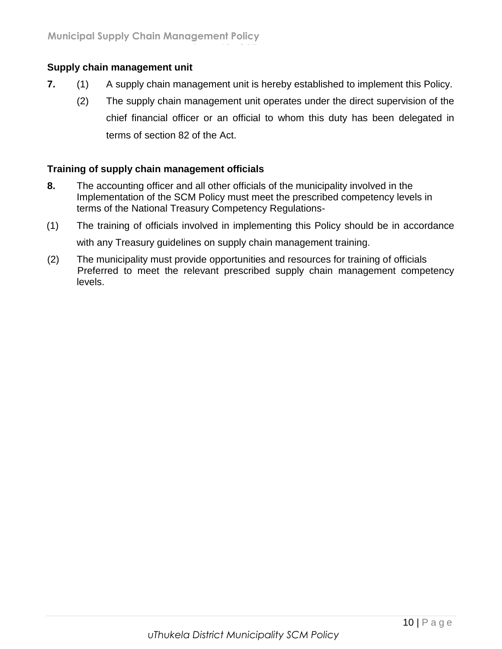## **Supply chain management unit**

**7.** (1) A supply chain management unit is hereby established to implement this Policy.

**Page 10 of 37**

(2) The supply chain management unit operates under the direct supervision of the chief financial officer or an official to whom this duty has been delegated in terms of section 82 of the Act.

#### **Training of supply chain management officials**

- **8.** The accounting officer and all other officials of the municipality involved in the Implementation of the SCM Policy must meet the prescribed competency levels in terms of the National Treasury Competency Regulations-
- (1) The training of officials involved in implementing this Policy should be in accordance with any Treasury guidelines on supply chain management training.
- (2) The municipality must provide opportunities and resources for training of officials Preferred to meet the relevant prescribed supply chain management competency levels.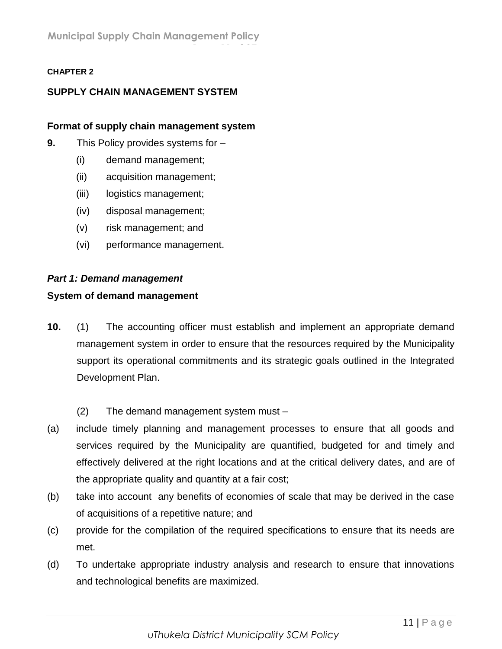**Page 11 of 37**

#### **CHAPTER 2**

## **SUPPLY CHAIN MANAGEMENT SYSTEM**

#### **Format of supply chain management system**

- **9.** This Policy provides systems for
	- (i) demand management;
	- (ii) acquisition management;
	- (iii) logistics management;
	- (iv) disposal management;
	- (v) risk management; and
	- (vi) performance management.

#### *Part 1: Demand management*

#### **System of demand management**

- **10.** (1) The accounting officer must establish and implement an appropriate demand management system in order to ensure that the resources required by the Municipality support its operational commitments and its strategic goals outlined in the Integrated Development Plan.
	- (2) The demand management system must –
- (a) include timely planning and management processes to ensure that all goods and services required by the Municipality are quantified, budgeted for and timely and effectively delivered at the right locations and at the critical delivery dates, and are of the appropriate quality and quantity at a fair cost;
- (b) take into account any benefits of economies of scale that may be derived in the case of acquisitions of a repetitive nature; and
- (c) provide for the compilation of the required specifications to ensure that its needs are met.
- (d) To undertake appropriate industry analysis and research to ensure that innovations and technological benefits are maximized.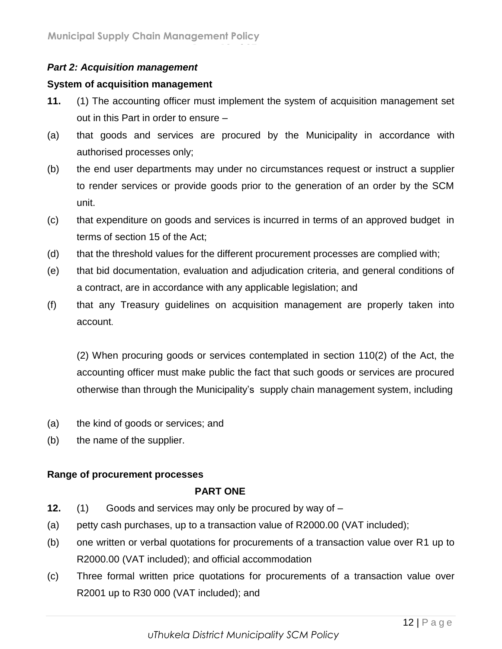## *Part 2: Acquisition management*

## **System of acquisition management**

**11.** (1) The accounting officer must implement the system of acquisition management set out in this Part in order to ensure –

**Page 12 of 37**

- (a) that goods and services are procured by the Municipality in accordance with authorised processes only;
- (b) the end user departments may under no circumstances request or instruct a supplier to render services or provide goods prior to the generation of an order by the SCM unit.
- (c) that expenditure on goods and services is incurred in terms of an approved budget in terms of section 15 of the Act;
- (d) that the threshold values for the different procurement processes are complied with;
- (e) that bid documentation, evaluation and adjudication criteria, and general conditions of a contract, are in accordance with any applicable legislation; and
- (f) that any Treasury guidelines on acquisition management are properly taken into account.

(2) When procuring goods or services contemplated in section 110(2) of the Act, the accounting officer must make public the fact that such goods or services are procured otherwise than through the Municipality's supply chain management system, including

- (a) the kind of goods or services; and
- (b) the name of the supplier.

## **Range of procurement processes**

## **PART ONE**

- **12.** (1) Goods and services may only be procured by way of –
- (a) petty cash purchases, up to a transaction value of R2000.00 (VAT included);
- (b) one written or verbal quotations for procurements of a transaction value over R1 up to R2000.00 (VAT included); and official accommodation
- (c) Three formal written price quotations for procurements of a transaction value over R2001 up to R30 000 (VAT included); and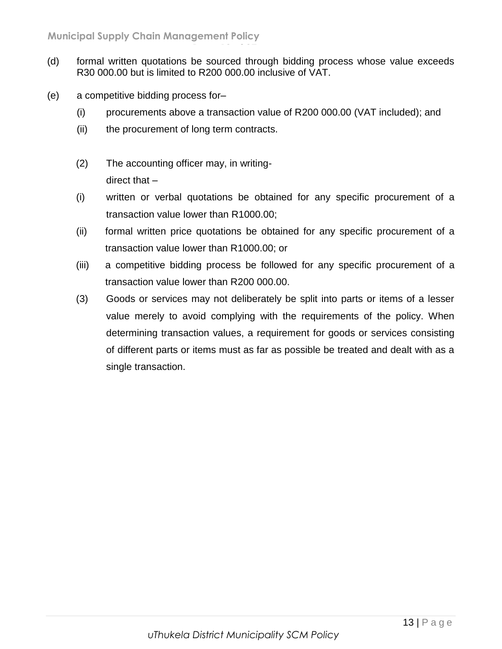(d) formal written quotations be sourced through bidding process whose value exceeds R30 000.00 but is limited to R200 000.00 inclusive of VAT.

**Page 13 of 37**

- (e) a competitive bidding process for–
	- (i) procurements above a transaction value of R200 000.00 (VAT included); and
	- (ii) the procurement of long term contracts.
	- (2) The accounting officer may, in writingdirect that –
	- (i) written or verbal quotations be obtained for any specific procurement of a transaction value lower than R1000.00;
	- (ii) formal written price quotations be obtained for any specific procurement of a transaction value lower than R1000.00; or
	- (iii) a competitive bidding process be followed for any specific procurement of a transaction value lower than R200 000.00.
	- (3) Goods or services may not deliberately be split into parts or items of a lesser value merely to avoid complying with the requirements of the policy. When determining transaction values, a requirement for goods or services consisting of different parts or items must as far as possible be treated and dealt with as a single transaction.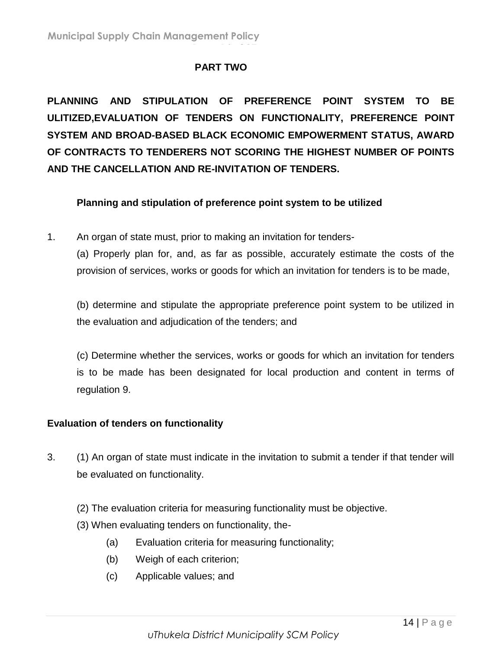## **PART TWO**

**Page 14 of 37**

**PLANNING AND STIPULATION OF PREFERENCE POINT SYSTEM TO BE ULITIZED,EVALUATION OF TENDERS ON FUNCTIONALITY, PREFERENCE POINT SYSTEM AND BROAD-BASED BLACK ECONOMIC EMPOWERMENT STATUS, AWARD OF CONTRACTS TO TENDERERS NOT SCORING THE HIGHEST NUMBER OF POINTS AND THE CANCELLATION AND RE-INVITATION OF TENDERS.**

## **Planning and stipulation of preference point system to be utilized**

1. An organ of state must, prior to making an invitation for tenders-

(a) Properly plan for, and, as far as possible, accurately estimate the costs of the provision of services, works or goods for which an invitation for tenders is to be made,

(b) determine and stipulate the appropriate preference point system to be utilized in the evaluation and adjudication of the tenders; and

(c) Determine whether the services, works or goods for which an invitation for tenders is to be made has been designated for local production and content in terms of regulation 9.

## **Evaluation of tenders on functionality**

- 3. (1) An organ of state must indicate in the invitation to submit a tender if that tender will be evaluated on functionality.
	- (2) The evaluation criteria for measuring functionality must be objective.
	- (3) When evaluating tenders on functionality, the-
		- (a) Evaluation criteria for measuring functionality;
		- (b) Weigh of each criterion;
		- (c) Applicable values; and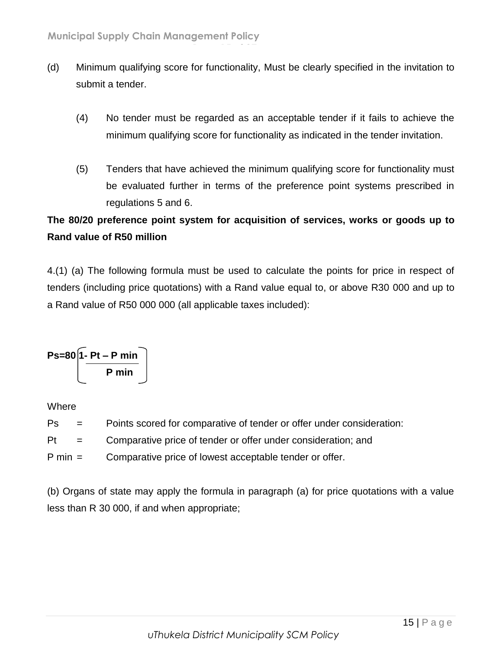(d) Minimum qualifying score for functionality, Must be clearly specified in the invitation to submit a tender.

**Page 15 of 37**

- (4) No tender must be regarded as an acceptable tender if it fails to achieve the minimum qualifying score for functionality as indicated in the tender invitation.
- (5) Tenders that have achieved the minimum qualifying score for functionality must be evaluated further in terms of the preference point systems prescribed in regulations 5 and 6.

## **The 80/20 preference point system for acquisition of services, works or goods up to Rand value of R50 million**

4.(1) (a) The following formula must be used to calculate the points for price in respect of tenders (including price quotations) with a Rand value equal to, or above R30 000 and up to a Rand value of R50 000 000 (all applicable taxes included):

$$
Ps=80\left[\frac{1-Pt-P\min P}{\min}\right]
$$

Where

- Ps = Points scored for comparative of tender or offer under consideration:
- Pt = Comparative price of tender or offer under consideration; and
- P min = Comparative price of lowest acceptable tender or offer.

(b) Organs of state may apply the formula in paragraph (a) for price quotations with a value less than R 30 000, if and when appropriate;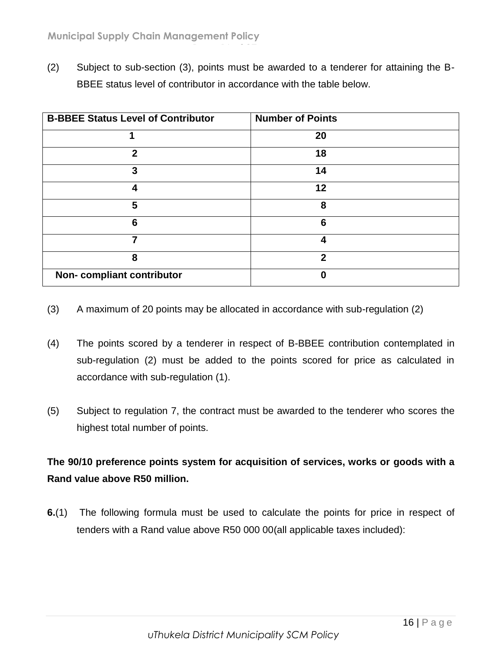(2) Subject to sub-section (3), points must be awarded to a tenderer for attaining the B-BBEE status level of contributor in accordance with the table below.

**Page 16 of 37**

| <b>B-BBEE Status Level of Contributor</b> | <b>Number of Points</b> |
|-------------------------------------------|-------------------------|
|                                           | 20                      |
| $\mathbf 2$                               | 18                      |
| 3                                         | 14                      |
| Δ                                         | 12                      |
| 5                                         | 8                       |
| 6                                         | 6                       |
|                                           | 4                       |
| 8                                         | າ                       |
| Non-compliant contributor                 | 0                       |

- (3) A maximum of 20 points may be allocated in accordance with sub-regulation (2)
- (4) The points scored by a tenderer in respect of B-BBEE contribution contemplated in sub-regulation (2) must be added to the points scored for price as calculated in accordance with sub-regulation (1).
- (5) Subject to regulation 7, the contract must be awarded to the tenderer who scores the highest total number of points.

## **The 90/10 preference points system for acquisition of services, works or goods with a Rand value above R50 million.**

**6.**(1) The following formula must be used to calculate the points for price in respect of tenders with a Rand value above R50 000 00(all applicable taxes included):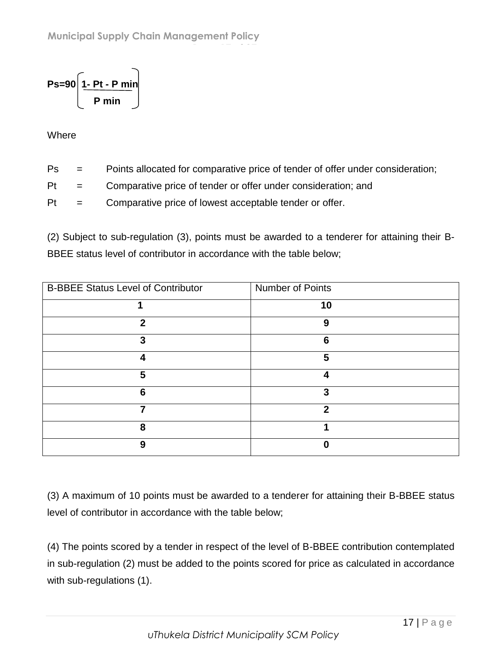$$
Ps = 90 \left[ \frac{1-Pt-P\ min}{P\ min} \right]
$$

**Where** 

- Ps = Points allocated for comparative price of tender of offer under consideration;
- Pt = Comparative price of tender or offer under consideration; and

**Page 17 of 37**

Pt = Comparative price of lowest acceptable tender or offer.

(2) Subject to sub-regulation (3), points must be awarded to a tenderer for attaining their B-BBEE status level of contributor in accordance with the table below;

| <b>B-BBEE Status Level of Contributor</b> | Number of Points |
|-------------------------------------------|------------------|
|                                           | 10               |
| $\mathbf{c}$                              | 9                |
| 3                                         | 6                |
|                                           | 5                |
| 5                                         |                  |
| 6                                         | 3                |
|                                           | 2                |
| 8                                         |                  |
| 9                                         |                  |

(3) A maximum of 10 points must be awarded to a tenderer for attaining their B-BBEE status level of contributor in accordance with the table below;

(4) The points scored by a tender in respect of the level of B-BBEE contribution contemplated in sub-regulation (2) must be added to the points scored for price as calculated in accordance with sub-regulations (1).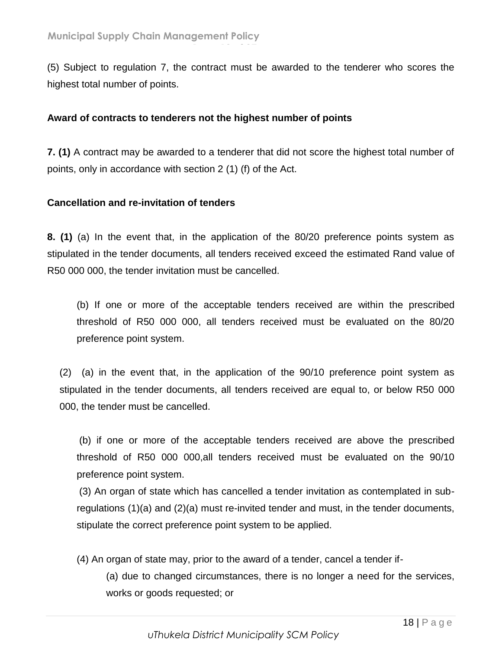(5) Subject to regulation 7, the contract must be awarded to the tenderer who scores the highest total number of points.

**Page 18 of 37**

#### **Award of contracts to tenderers not the highest number of points**

**7. (1)** A contract may be awarded to a tenderer that did not score the highest total number of points, only in accordance with section 2 (1) (f) of the Act.

#### **Cancellation and re-invitation of tenders**

**8. (1)** (a) In the event that, in the application of the 80/20 preference points system as stipulated in the tender documents, all tenders received exceed the estimated Rand value of R50 000 000, the tender invitation must be cancelled.

(b) If one or more of the acceptable tenders received are within the prescribed threshold of R50 000 000, all tenders received must be evaluated on the 80/20 preference point system.

(2) (a) in the event that, in the application of the 90/10 preference point system as stipulated in the tender documents, all tenders received are equal to, or below R50 000 000, the tender must be cancelled.

(b) if one or more of the acceptable tenders received are above the prescribed threshold of R50 000 000,all tenders received must be evaluated on the 90/10 preference point system.

(3) An organ of state which has cancelled a tender invitation as contemplated in subregulations (1)(a) and (2)(a) must re-invited tender and must, in the tender documents, stipulate the correct preference point system to be applied.

(4) An organ of state may, prior to the award of a tender, cancel a tender if-

(a) due to changed circumstances, there is no longer a need for the services, works or goods requested; or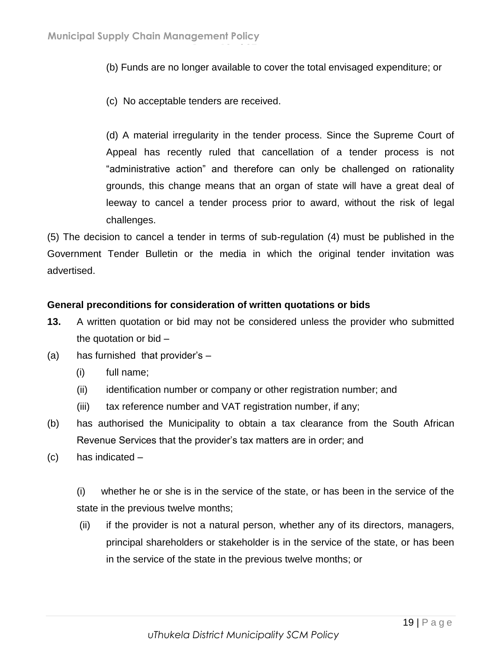(b) Funds are no longer available to cover the total envisaged expenditure; or

(c) No acceptable tenders are received.

**Page 19 of 37**

(d) A material irregularity in the tender process. Since the Supreme Court of Appeal has recently ruled that cancellation of a tender process is not "administrative action" and therefore can only be challenged on rationality grounds, this change means that an organ of state will have a great deal of leeway to cancel a tender process prior to award, without the risk of legal challenges.

(5) The decision to cancel a tender in terms of sub-regulation (4) must be published in the Government Tender Bulletin or the media in which the original tender invitation was advertised.

#### **General preconditions for consideration of written quotations or bids**

- **13.** A written quotation or bid may not be considered unless the provider who submitted the quotation or bid –
- (a) has furnished that provider's
	- (i) full name;
	- (ii) identification number or company or other registration number; and
	- (iii) tax reference number and VAT registration number, if any;
- (b) has authorised the Municipality to obtain a tax clearance from the South African Revenue Services that the provider's tax matters are in order; and
- (c) has indicated –

(i) whether he or she is in the service of the state, or has been in the service of the state in the previous twelve months;

(ii) if the provider is not a natural person, whether any of its directors, managers, principal shareholders or stakeholder is in the service of the state, or has been in the service of the state in the previous twelve months; or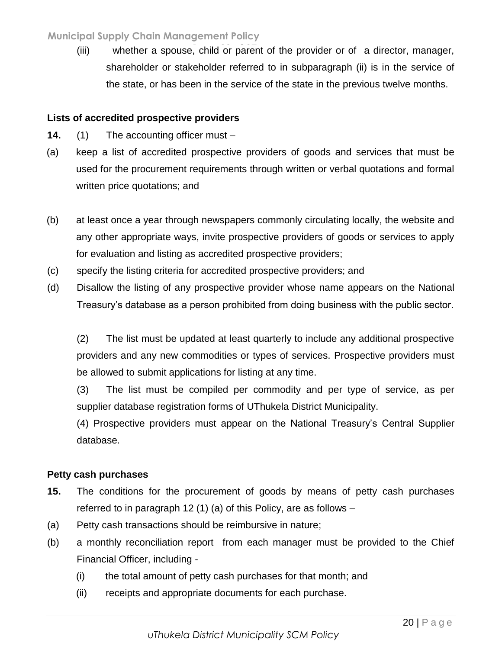(iii) whether a spouse, child or parent of the provider or of a director, manager, shareholder or stakeholder referred to in subparagraph (ii) is in the service of the state, or has been in the service of the state in the previous twelve months.

## **Lists of accredited prospective providers**

- **14.** (1) The accounting officer must –
- (a) keep a list of accredited prospective providers of goods and services that must be used for the procurement requirements through written or verbal quotations and formal written price quotations; and
- (b) at least once a year through newspapers commonly circulating locally, the website and any other appropriate ways, invite prospective providers of goods or services to apply for evaluation and listing as accredited prospective providers;
- (c) specify the listing criteria for accredited prospective providers; and
- (d) Disallow the listing of any prospective provider whose name appears on the National Treasury's database as a person prohibited from doing business with the public sector.

(2) The list must be updated at least quarterly to include any additional prospective providers and any new commodities or types of services. Prospective providers must be allowed to submit applications for listing at any time.

(3) The list must be compiled per commodity and per type of service, as per supplier database registration forms of UThukela District Municipality.

(4) Prospective providers must appear on the National Treasury's Central Supplier database.

## **Petty cash purchases**

- **15.** The conditions for the procurement of goods by means of petty cash purchases referred to in paragraph 12 (1) (a) of this Policy, are as follows –
- (a) Petty cash transactions should be reimbursive in nature;
- (b) a monthly reconciliation report from each manager must be provided to the Chief Financial Officer, including -
	- (i) the total amount of petty cash purchases for that month; and
	- (ii) receipts and appropriate documents for each purchase.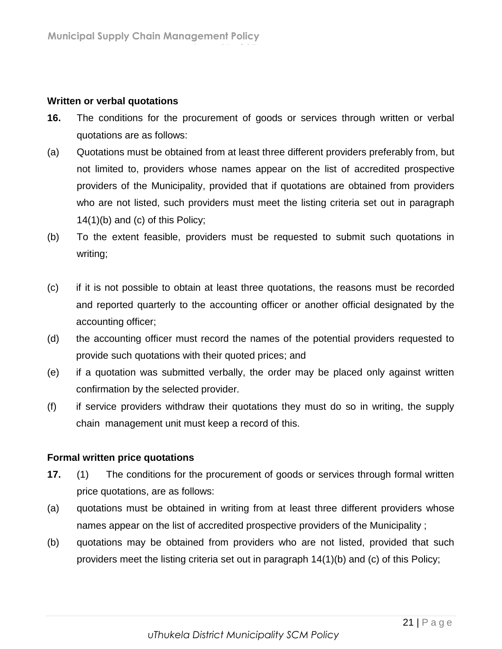#### **Written or verbal quotations**

**16.** The conditions for the procurement of goods or services through written or verbal quotations are as follows:

**Page 21 of 37**

- (a) Quotations must be obtained from at least three different providers preferably from, but not limited to, providers whose names appear on the list of accredited prospective providers of the Municipality, provided that if quotations are obtained from providers who are not listed, such providers must meet the listing criteria set out in paragraph 14(1)(b) and (c) of this Policy;
- (b) To the extent feasible, providers must be requested to submit such quotations in writing;
- (c) if it is not possible to obtain at least three quotations, the reasons must be recorded and reported quarterly to the accounting officer or another official designated by the accounting officer;
- (d) the accounting officer must record the names of the potential providers requested to provide such quotations with their quoted prices; and
- (e) if a quotation was submitted verbally, the order may be placed only against written confirmation by the selected provider.
- (f) if service providers withdraw their quotations they must do so in writing, the supply chain management unit must keep a record of this.

## **Formal written price quotations**

- **17.** (1) The conditions for the procurement of goods or services through formal written price quotations, are as follows:
- (a) quotations must be obtained in writing from at least three different providers whose names appear on the list of accredited prospective providers of the Municipality ;
- (b) quotations may be obtained from providers who are not listed, provided that such providers meet the listing criteria set out in paragraph 14(1)(b) and (c) of this Policy;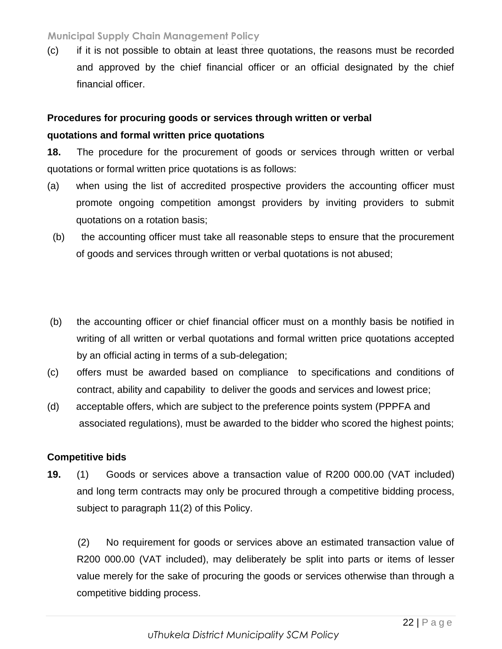(c) if it is not possible to obtain at least three quotations, the reasons must be recorded **Page 22 of 37** and approved by the chief financial officer or an official designated by the chief financial officer.

## **Procedures for procuring goods or services through written or verbal quotations and formal written price quotations**

**18.** The procedure for the procurement of goods or services through written or verbal quotations or formal written price quotations is as follows:

- (a) when using the list of accredited prospective providers the accounting officer must promote ongoing competition amongst providers by inviting providers to submit quotations on a rotation basis;
	- (b) the accounting officer must take all reasonable steps to ensure that the procurement of goods and services through written or verbal quotations is not abused;
- (b) the accounting officer or chief financial officer must on a monthly basis be notified in writing of all written or verbal quotations and formal written price quotations accepted by an official acting in terms of a sub-delegation;
- (c) offers must be awarded based on compliance to specifications and conditions of contract, ability and capability to deliver the goods and services and lowest price;
- (d) acceptable offers, which are subject to the preference points system (PPPFA and associated regulations), must be awarded to the bidder who scored the highest points;

## **Competitive bids**

**19.** (1) Goods or services above a transaction value of R200 000.00 (VAT included) and long term contracts may only be procured through a competitive bidding process, subject to paragraph 11(2) of this Policy.

(2) No requirement for goods or services above an estimated transaction value of R200 000.00 (VAT included), may deliberately be split into parts or items of lesser value merely for the sake of procuring the goods or services otherwise than through a competitive bidding process.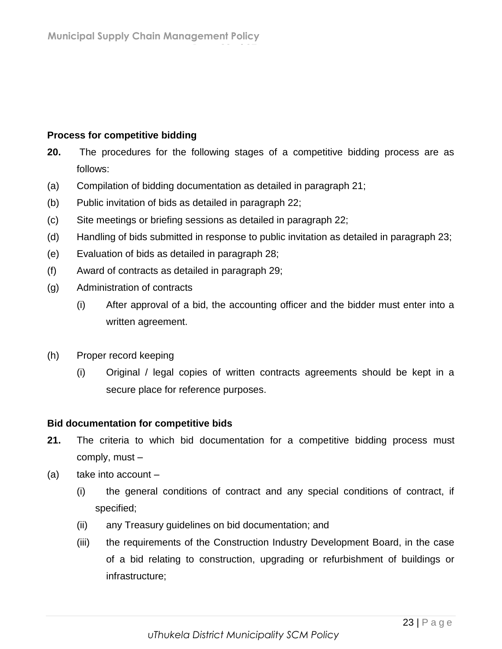## **Process for competitive bidding**

- **20.** The procedures for the following stages of a competitive bidding process are as follows:
- (a) Compilation of bidding documentation as detailed in paragraph 21;

**Page 23 of 37**

- (b) Public invitation of bids as detailed in paragraph 22;
- (c) Site meetings or briefing sessions as detailed in paragraph 22;
- (d) Handling of bids submitted in response to public invitation as detailed in paragraph 23;
- (e) Evaluation of bids as detailed in paragraph 28;
- (f) Award of contracts as detailed in paragraph 29;
- (g) Administration of contracts
	- (i) After approval of a bid, the accounting officer and the bidder must enter into a written agreement.
- (h) Proper record keeping
	- (i) Original / legal copies of written contracts agreements should be kept in a secure place for reference purposes.

## **Bid documentation for competitive bids**

- **21.** The criteria to which bid documentation for a competitive bidding process must comply, must –
- (a) take into account
	- (i) the general conditions of contract and any special conditions of contract, if specified;
	- (ii) any Treasury guidelines on bid documentation; and
	- (iii) the requirements of the Construction Industry Development Board, in the case of a bid relating to construction, upgrading or refurbishment of buildings or infrastructure;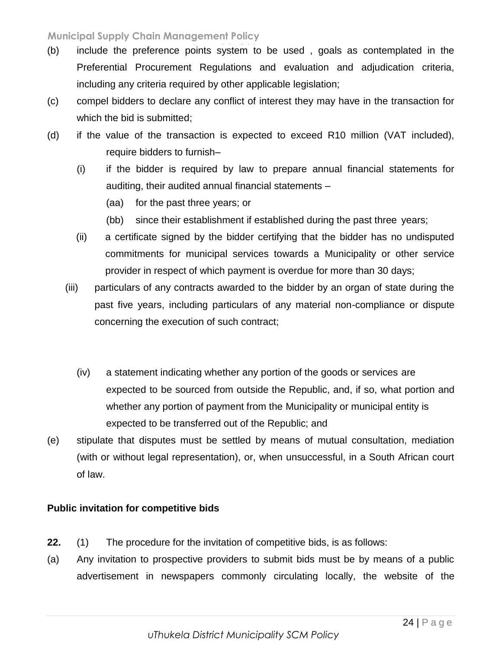- (b) include the preference points system to be used, goals as contemplated in the Preferential Procurement Regulations and evaluation and adjudication criteria, including any criteria required by other applicable legislation;
- (c) compel bidders to declare any conflict of interest they may have in the transaction for which the bid is submitted;
- (d) if the value of the transaction is expected to exceed R10 million (VAT included), require bidders to furnish–
	- (i) if the bidder is required by law to prepare annual financial statements for auditing, their audited annual financial statements –
		- (aa) for the past three years; or
		- (bb) since their establishment if established during the past three years;
	- (ii) a certificate signed by the bidder certifying that the bidder has no undisputed commitments for municipal services towards a Municipality or other service provider in respect of which payment is overdue for more than 30 days;
	- (iii) particulars of any contracts awarded to the bidder by an organ of state during the past five years, including particulars of any material non-compliance or dispute concerning the execution of such contract;
		- (iv) a statement indicating whether any portion of the goods or services are expected to be sourced from outside the Republic, and, if so, what portion and whether any portion of payment from the Municipality or municipal entity is expected to be transferred out of the Republic; and
- (e) stipulate that disputes must be settled by means of mutual consultation, mediation (with or without legal representation), or, when unsuccessful, in a South African court of law.

## **Public invitation for competitive bids**

- **22.** (1) The procedure for the invitation of competitive bids, is as follows:
- (a) Any invitation to prospective providers to submit bids must be by means of a public advertisement in newspapers commonly circulating locally, the website of the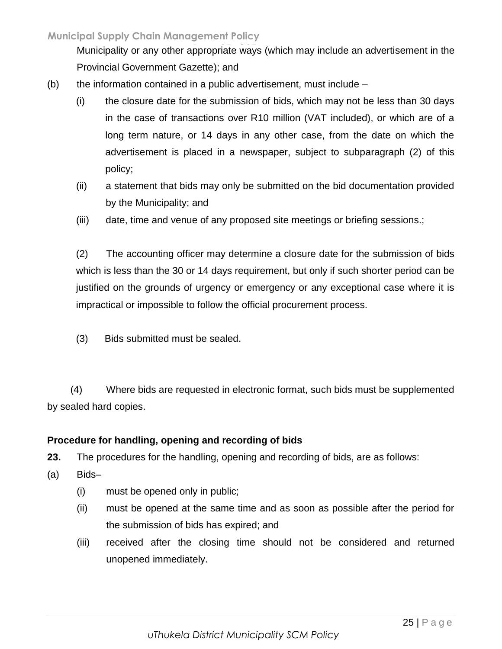Municipality or any other appropriate ways (which may include an advertisement in the Provincial Government Gazette); and

- $(b)$  the information contained in a public advertisement, must include  $-$ 
	- (i) the closure date for the submission of bids, which may not be less than 30 days in the case of transactions over R10 million (VAT included), or which are of a long term nature, or 14 days in any other case, from the date on which the advertisement is placed in a newspaper, subject to subparagraph (2) of this policy;
	- (ii) a statement that bids may only be submitted on the bid documentation provided by the Municipality; and
	- (iii) date, time and venue of any proposed site meetings or briefing sessions.;

(2) The accounting officer may determine a closure date for the submission of bids which is less than the 30 or 14 days requirement, but only if such shorter period can be justified on the grounds of urgency or emergency or any exceptional case where it is impractical or impossible to follow the official procurement process.

(3) Bids submitted must be sealed.

(4) Where bids are requested in electronic format, such bids must be supplemented by sealed hard copies.

## **Procedure for handling, opening and recording of bids**

**23.** The procedures for the handling, opening and recording of bids, are as follows:

- (a) Bids–
	- (i) must be opened only in public;
	- (ii) must be opened at the same time and as soon as possible after the period for the submission of bids has expired; and
	- (iii) received after the closing time should not be considered and returned unopened immediately.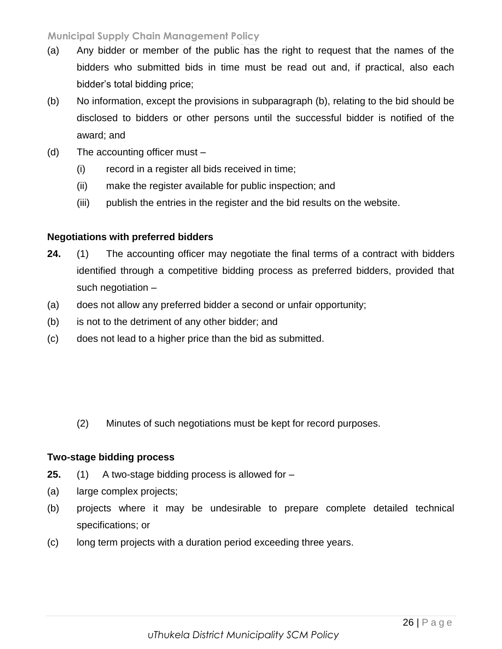- (a) Any bidder or member of the public has the right to request that the names of the bidders who submitted bids in time must be read out and, if practical, also each bidder's total bidding price;
- (b) No information, except the provisions in subparagraph (b), relating to the bid should be disclosed to bidders or other persons until the successful bidder is notified of the award; and
- (d) The accounting officer must
	- (i) record in a register all bids received in time;
	- (ii) make the register available for public inspection; and
	- (iii) publish the entries in the register and the bid results on the website.

## **Negotiations with preferred bidders**

- **24.** (1) The accounting officer may negotiate the final terms of a contract with bidders identified through a competitive bidding process as preferred bidders, provided that such negotiation –
- (a) does not allow any preferred bidder a second or unfair opportunity;
- (b) is not to the detriment of any other bidder; and
- (c) does not lead to a higher price than the bid as submitted.

(2) Minutes of such negotiations must be kept for record purposes.

## **Two-stage bidding process**

- **25.** (1) A two-stage bidding process is allowed for –
- (a) large complex projects;
- (b) projects where it may be undesirable to prepare complete detailed technical specifications; or
- (c) long term projects with a duration period exceeding three years.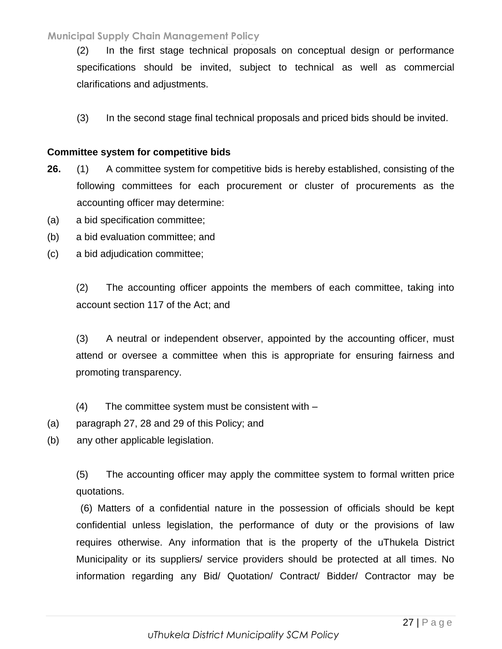(2) In the first stage technical proposals on conceptual design or performance **Page 27 of 37** specifications should be invited, subject to technical as well as commercial clarifications and adjustments.

(3) In the second stage final technical proposals and priced bids should be invited.

#### **Committee system for competitive bids**

- **26.** (1) A committee system for competitive bids is hereby established, consisting of the following committees for each procurement or cluster of procurements as the accounting officer may determine:
- (a) a bid specification committee;
- (b) a bid evaluation committee; and
- (c) a bid adjudication committee;

(2) The accounting officer appoints the members of each committee, taking into account section 117 of the Act; and

(3) A neutral or independent observer, appointed by the accounting officer, must attend or oversee a committee when this is appropriate for ensuring fairness and promoting transparency.

(4) The committee system must be consistent with –

(a) paragraph 27, 28 and 29 of this Policy; and

(b) any other applicable legislation.

(5) The accounting officer may apply the committee system to formal written price quotations.

(6) Matters of a confidential nature in the possession of officials should be kept confidential unless legislation, the performance of duty or the provisions of law requires otherwise. Any information that is the property of the uThukela District Municipality or its suppliers/ service providers should be protected at all times. No information regarding any Bid/ Quotation/ Contract/ Bidder/ Contractor may be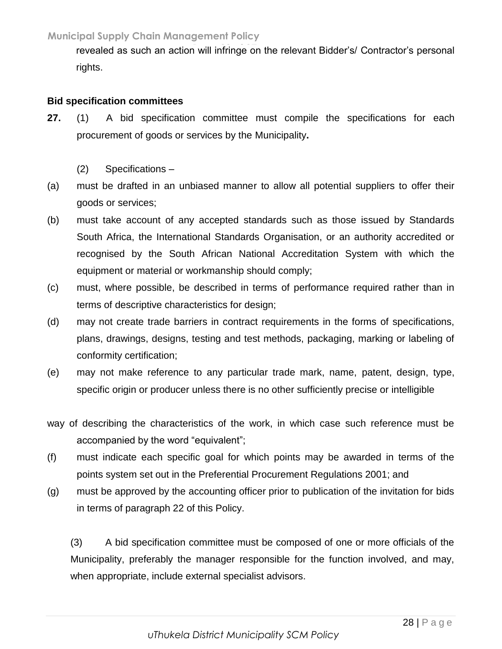revealed as such an action will infringe on the relevant Bidder's/ Contractor's personal rights.

## **Bid specification committees**

- **27.** (1) A bid specification committee must compile the specifications for each procurement of goods or services by the Municipality**.**
	- (2) Specifications –
- (a) must be drafted in an unbiased manner to allow all potential suppliers to offer their goods or services;
- (b) must take account of any accepted standards such as those issued by Standards South Africa, the International Standards Organisation, or an authority accredited or recognised by the South African National Accreditation System with which the equipment or material or workmanship should comply;
- (c) must, where possible, be described in terms of performance required rather than in terms of descriptive characteristics for design;
- (d) may not create trade barriers in contract requirements in the forms of specifications, plans, drawings, designs, testing and test methods, packaging, marking or labeling of conformity certification;
- (e) may not make reference to any particular trade mark, name, patent, design, type, specific origin or producer unless there is no other sufficiently precise or intelligible
- way of describing the characteristics of the work, in which case such reference must be accompanied by the word "equivalent";
- (f) must indicate each specific goal for which points may be awarded in terms of the points system set out in the Preferential Procurement Regulations 2001; and
- (g) must be approved by the accounting officer prior to publication of the invitation for bids in terms of paragraph 22 of this Policy.

(3) A bid specification committee must be composed of one or more officials of the Municipality, preferably the manager responsible for the function involved, and may, when appropriate, include external specialist advisors.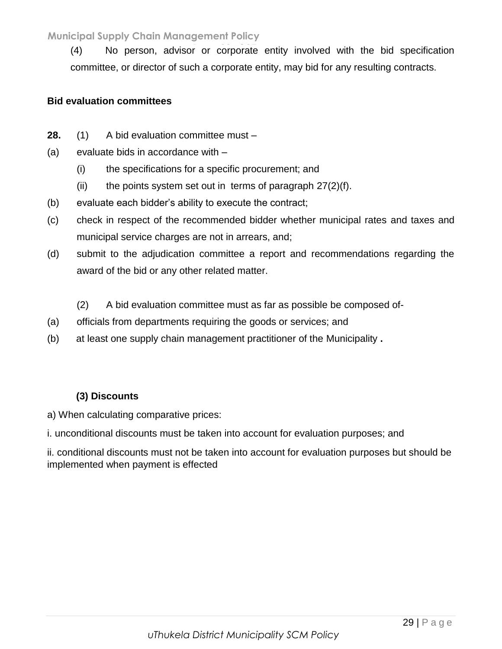(4) No person, advisor or corporate entity involved with the bid specification **Page 29 of 37** committee, or director of such a corporate entity, may bid for any resulting contracts.

#### **Bid evaluation committees**

- **28.** (1) A bid evaluation committee must –
- (a) evaluate bids in accordance with
	- (i) the specifications for a specific procurement; and
	- (ii) the points system set out in terms of paragraph  $27(2)(f)$ .
- (b) evaluate each bidder's ability to execute the contract;
- (c) check in respect of the recommended bidder whether municipal rates and taxes and municipal service charges are not in arrears, and;
- (d) submit to the adjudication committee a report and recommendations regarding the award of the bid or any other related matter.
	- (2) A bid evaluation committee must as far as possible be composed of-
- (a) officials from departments requiring the goods or services; and
- (b) at least one supply chain management practitioner of the Municipality **.**

## **(3) Discounts**

a) When calculating comparative prices:

i. unconditional discounts must be taken into account for evaluation purposes; and

ii. conditional discounts must not be taken into account for evaluation purposes but should be implemented when payment is effected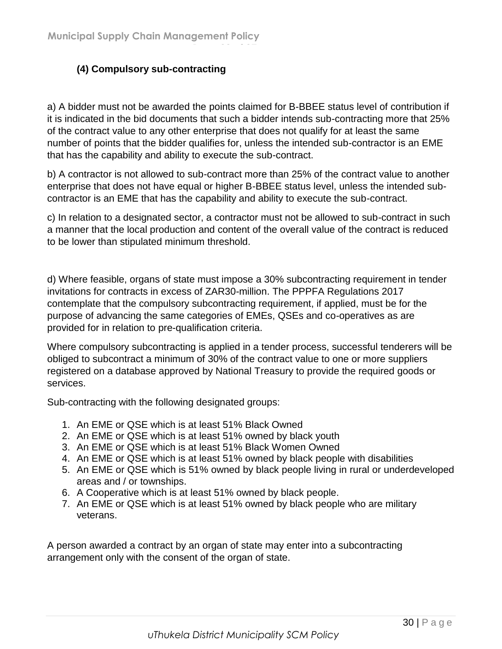## **(4) Compulsory sub-contracting**

a) A bidder must not be awarded the points claimed for B-BBEE status level of contribution if it is indicated in the bid documents that such a bidder intends sub-contracting more that 25% of the contract value to any other enterprise that does not qualify for at least the same number of points that the bidder qualifies for, unless the intended sub-contractor is an EME that has the capability and ability to execute the sub-contract.

**Page 30 of 37**

b) A contractor is not allowed to sub-contract more than 25% of the contract value to another enterprise that does not have equal or higher B-BBEE status level, unless the intended subcontractor is an EME that has the capability and ability to execute the sub-contract.

c) In relation to a designated sector, a contractor must not be allowed to sub-contract in such a manner that the local production and content of the overall value of the contract is reduced to be lower than stipulated minimum threshold.

d) Where feasible, organs of state must impose a 30% subcontracting requirement in tender invitations for contracts in excess of ZAR30-million. The PPPFA Regulations 2017 contemplate that the compulsory subcontracting requirement, if applied, must be for the purpose of advancing the same categories of EMEs, QSEs and co-operatives as are provided for in relation to pre-qualification criteria.

Where compulsory subcontracting is applied in a tender process, successful tenderers will be obliged to subcontract a minimum of 30% of the contract value to one or more suppliers registered on a database approved by National Treasury to provide the required goods or services.

Sub-contracting with the following designated groups:

- 1. An EME or QSE which is at least 51% Black Owned
- 2. An EME or QSE which is at least 51% owned by black youth
- 3. An EME or QSE which is at least 51% Black Women Owned
- 4. An EME or QSE which is at least 51% owned by black people with disabilities
- 5. An EME or QSE which is 51% owned by black people living in rural or underdeveloped areas and / or townships.
- 6. A Cooperative which is at least 51% owned by black people.
- 7. An EME or QSE which is at least 51% owned by black people who are military veterans.

A person awarded a contract by an organ of state may enter into a subcontracting arrangement only with the consent of the organ of state.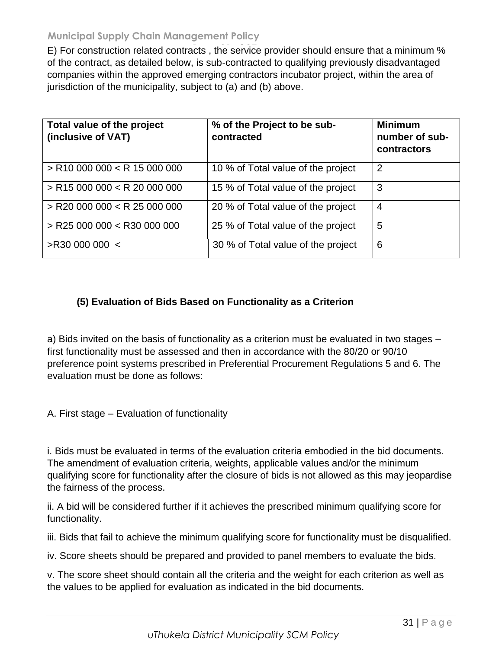E) For construction related contracts, the service provider should ensure that a minimum % of the contract, as detailed below, is sub-contracted to qualifying previously disadvantaged companies within the approved emerging contractors incubator project, within the area of jurisdiction of the municipality, subject to (a) and (b) above.

| Total value of the project<br>(inclusive of VAT) | % of the Project to be sub-<br>contracted | <b>Minimum</b><br>number of sub-<br>contractors |
|--------------------------------------------------|-------------------------------------------|-------------------------------------------------|
| $>$ R10 000 000 < R 15 000 000                   | 10 % of Total value of the project        | 2                                               |
| $>$ R15 000 000 < R 20 000 000                   | 15 % of Total value of the project        | 3                                               |
| $>$ R20 000 000 < R 25 000 000                   | 20 % of Total value of the project        | $\overline{4}$                                  |
| $>$ R25 000 000 $<$ R30 000 000                  | 25 % of Total value of the project        | 5                                               |
| >R30 000 000 <                                   | 30 % of Total value of the project        | 6                                               |

## **(5) Evaluation of Bids Based on Functionality as a Criterion**

a) Bids invited on the basis of functionality as a criterion must be evaluated in two stages – first functionality must be assessed and then in accordance with the 80/20 or 90/10 preference point systems prescribed in Preferential Procurement Regulations 5 and 6. The evaluation must be done as follows:

A. First stage – Evaluation of functionality

i. Bids must be evaluated in terms of the evaluation criteria embodied in the bid documents. The amendment of evaluation criteria, weights, applicable values and/or the minimum qualifying score for functionality after the closure of bids is not allowed as this may jeopardise the fairness of the process.

ii. A bid will be considered further if it achieves the prescribed minimum qualifying score for functionality.

iii. Bids that fail to achieve the minimum qualifying score for functionality must be disqualified.

iv. Score sheets should be prepared and provided to panel members to evaluate the bids.

v. The score sheet should contain all the criteria and the weight for each criterion as well as the values to be applied for evaluation as indicated in the bid documents.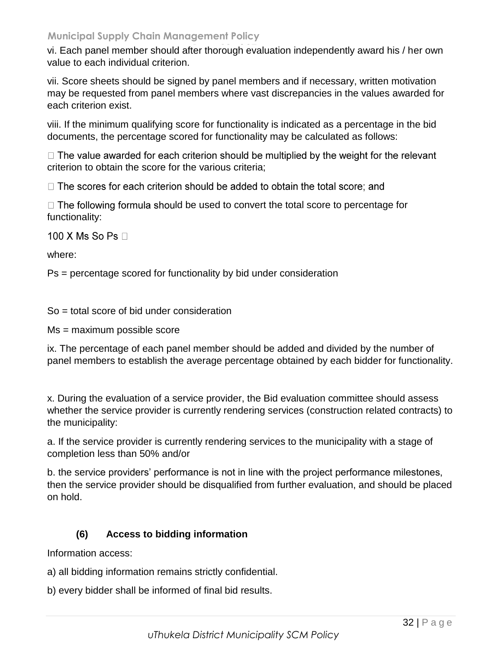vi. Each panel member should after thorough evaluation independently award his / her own value to each individual criterion.

vii. Score sheets should be signed by panel members and if necessary, written motivation may be requested from panel members where vast discrepancies in the values awarded for each criterion exist.

viii. If the minimum qualifying score for functionality is indicated as a percentage in the bid documents, the percentage scored for functionality may be calculated as follows:

 $\Box$  The value awarded for each criterion should be multiplied by the weight for the relevant criterion to obtain the score for the various criteria;

 $\Box$  The scores for each criterion should be added to obtain the total score; and

 $\Box$  The following formula should be used to convert the total score to percentage for functionality:

100 X Ms So Ps  $\Box$ 

where:

Ps = percentage scored for functionality by bid under consideration

So = total score of bid under consideration

Ms = maximum possible score

ix. The percentage of each panel member should be added and divided by the number of panel members to establish the average percentage obtained by each bidder for functionality.

x. During the evaluation of a service provider, the Bid evaluation committee should assess whether the service provider is currently rendering services (construction related contracts) to the municipality:

a. If the service provider is currently rendering services to the municipality with a stage of completion less than 50% and/or

b. the service providers' performance is not in line with the project performance milestones, then the service provider should be disqualified from further evaluation, and should be placed on hold.

## **(6) Access to bidding information**

Information access:

- a) all bidding information remains strictly confidential.
- b) every bidder shall be informed of final bid results.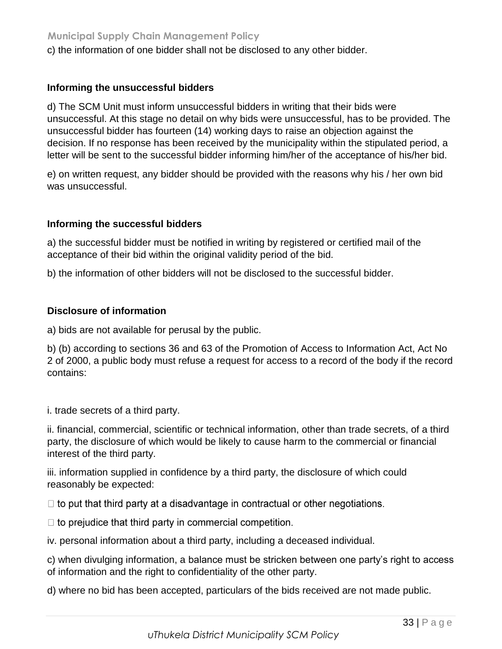c) the information of one bidder shall not be disclosed to any other bidder.

#### **Informing the unsuccessful bidders**

d) The SCM Unit must inform unsuccessful bidders in writing that their bids were unsuccessful. At this stage no detail on why bids were unsuccessful, has to be provided. The unsuccessful bidder has fourteen (14) working days to raise an objection against the decision. If no response has been received by the municipality within the stipulated period, a letter will be sent to the successful bidder informing him/her of the acceptance of his/her bid.

e) on written request, any bidder should be provided with the reasons why his / her own bid was unsuccessful.

#### **Informing the successful bidders**

a) the successful bidder must be notified in writing by registered or certified mail of the acceptance of their bid within the original validity period of the bid.

b) the information of other bidders will not be disclosed to the successful bidder.

#### **Disclosure of information**

a) bids are not available for perusal by the public.

b) (b) according to sections 36 and 63 of the Promotion of Access to Information Act, Act No 2 of 2000, a public body must refuse a request for access to a record of the body if the record contains:

i. trade secrets of a third party.

ii. financial, commercial, scientific or technical information, other than trade secrets, of a third party, the disclosure of which would be likely to cause harm to the commercial or financial interest of the third party.

iii. information supplied in confidence by a third party, the disclosure of which could reasonably be expected:

 $\Box$  to put that third party at a disadvantage in contractual or other negotiations.

 $\Box$  to prejudice that third party in commercial competition.

iv. personal information about a third party, including a deceased individual.

c) when divulging information, a balance must be stricken between one party's right to access of information and the right to confidentiality of the other party.

d) where no bid has been accepted, particulars of the bids received are not made public.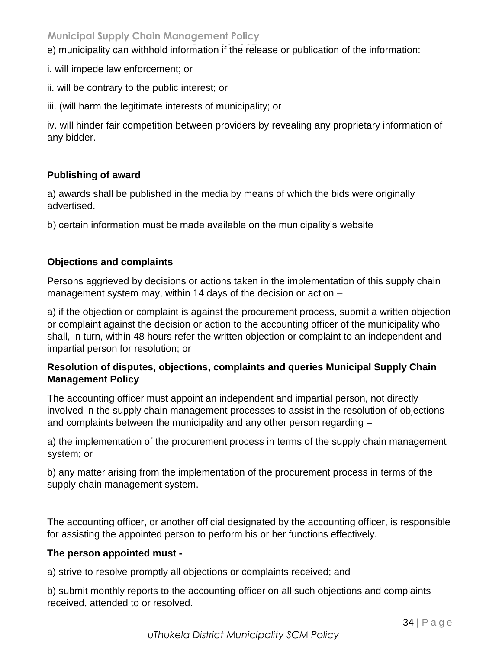e) municipality can withhold information if the release or publication of the information:

- i. will impede law enforcement; or
- ii. will be contrary to the public interest; or
- iii. (will harm the legitimate interests of municipality; or

iv. will hinder fair competition between providers by revealing any proprietary information of any bidder.

## **Publishing of award**

a) awards shall be published in the media by means of which the bids were originally advertised.

b) certain information must be made available on the municipality's website

## **Objections and complaints**

Persons aggrieved by decisions or actions taken in the implementation of this supply chain management system may, within 14 days of the decision or action –

a) if the objection or complaint is against the procurement process, submit a written objection or complaint against the decision or action to the accounting officer of the municipality who shall, in turn, within 48 hours refer the written objection or complaint to an independent and impartial person for resolution; or

## **Resolution of disputes, objections, complaints and queries Municipal Supply Chain Management Policy**

The accounting officer must appoint an independent and impartial person, not directly involved in the supply chain management processes to assist in the resolution of objections and complaints between the municipality and any other person regarding –

a) the implementation of the procurement process in terms of the supply chain management system; or

b) any matter arising from the implementation of the procurement process in terms of the supply chain management system.

The accounting officer, or another official designated by the accounting officer, is responsible for assisting the appointed person to perform his or her functions effectively.

## **The person appointed must -**

a) strive to resolve promptly all objections or complaints received; and

b) submit monthly reports to the accounting officer on all such objections and complaints received, attended to or resolved.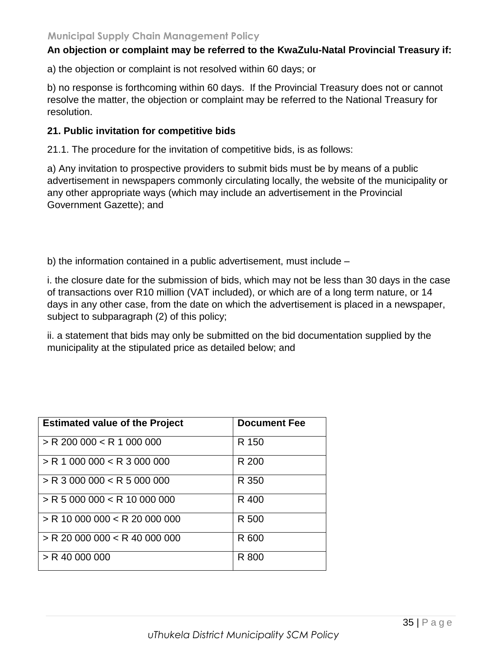#### An objection or complaint may be referred to the KwaZulu-Natal Provincial Treasury if:

a) the objection or complaint is not resolved within 60 days; or

b) no response is forthcoming within 60 days. If the Provincial Treasury does not or cannot resolve the matter, the objection or complaint may be referred to the National Treasury for resolution.

#### **21. Public invitation for competitive bids**

21.1. The procedure for the invitation of competitive bids, is as follows:

a) Any invitation to prospective providers to submit bids must be by means of a public advertisement in newspapers commonly circulating locally, the website of the municipality or any other appropriate ways (which may include an advertisement in the Provincial Government Gazette); and

b) the information contained in a public advertisement, must include –

i. the closure date for the submission of bids, which may not be less than 30 days in the case of transactions over R10 million (VAT included), or which are of a long term nature, or 14 days in any other case, from the date on which the advertisement is placed in a newspaper, subject to subparagraph (2) of this policy;

ii. a statement that bids may only be submitted on the bid documentation supplied by the municipality at the stipulated price as detailed below; and

| <b>Estimated value of the Project</b> | <b>Document Fee</b> |
|---------------------------------------|---------------------|
| $>$ R 200 000 < R 1 000 000           | R 150               |
| $>$ R 1 000 000 $<$ R 3 000 000       | R 200               |
| $>$ R 3 000 000 $<$ R 5 000 000       | R 350               |
| $>$ R 5 000 000 $<$ R 10 000 000      | R 400               |
| $>$ R 10 000 000 $<$ R 20 000 000     | R 500               |
| $>$ R 20 000 000 $<$ R 40 000 000     | R 600               |
| $>$ R 40 000 000                      | R 800               |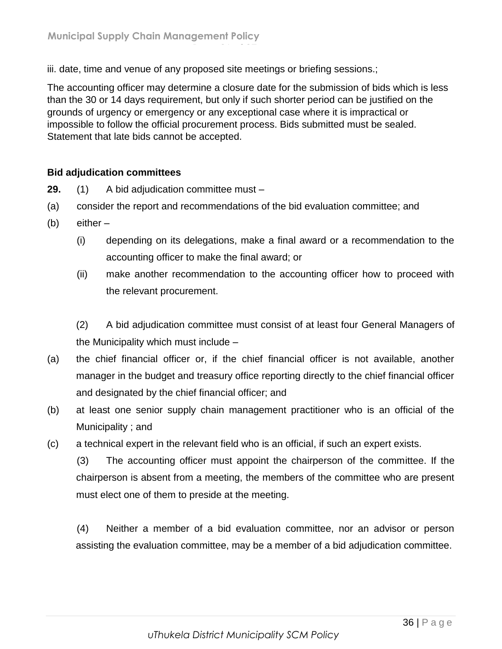iii. date, time and venue of any proposed site meetings or briefing sessions.;

**Page 36 of 37**

The accounting officer may determine a closure date for the submission of bids which is less than the 30 or 14 days requirement, but only if such shorter period can be justified on the grounds of urgency or emergency or any exceptional case where it is impractical or impossible to follow the official procurement process. Bids submitted must be sealed. Statement that late bids cannot be accepted.

## **Bid adjudication committees**

**29.** (1) A bid adjudication committee must –

- (a) consider the report and recommendations of the bid evaluation committee; and
- (b) either
	- (i) depending on its delegations, make a final award or a recommendation to the accounting officer to make the final award; or
	- (ii) make another recommendation to the accounting officer how to proceed with the relevant procurement.

(2) A bid adjudication committee must consist of at least four General Managers of the Municipality which must include –

- (a) the chief financial officer or, if the chief financial officer is not available, another manager in the budget and treasury office reporting directly to the chief financial officer and designated by the chief financial officer; and
- (b) at least one senior supply chain management practitioner who is an official of the Municipality ; and
- (c) a technical expert in the relevant field who is an official, if such an expert exists.

(3) The accounting officer must appoint the chairperson of the committee. If the chairperson is absent from a meeting, the members of the committee who are present must elect one of them to preside at the meeting.

(4) Neither a member of a bid evaluation committee, nor an advisor or person assisting the evaluation committee, may be a member of a bid adjudication committee.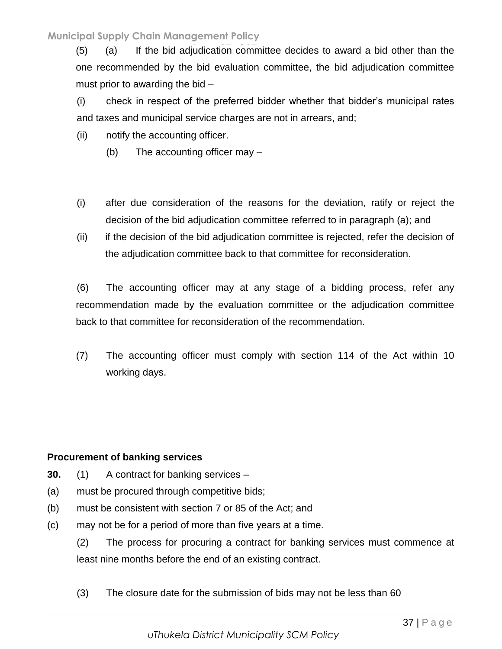(5) (a) If the bid adjudication committee decides to award a bid other than the one recommended by the bid evaluation committee, the bid adjudication committee must prior to awarding the bid –

(i) check in respect of the preferred bidder whether that bidder's municipal rates and taxes and municipal service charges are not in arrears, and;

- (ii) notify the accounting officer.
	- (b) The accounting officer may –
- (i) after due consideration of the reasons for the deviation, ratify or reject the decision of the bid adjudication committee referred to in paragraph (a); and
- (ii) if the decision of the bid adjudication committee is rejected, refer the decision of the adjudication committee back to that committee for reconsideration.

(6) The accounting officer may at any stage of a bidding process, refer any recommendation made by the evaluation committee or the adjudication committee back to that committee for reconsideration of the recommendation.

(7) The accounting officer must comply with section 114 of the Act within 10 working days.

## **Procurement of banking services**

- **30.** (1) A contract for banking services –
- (a) must be procured through competitive bids;
- (b) must be consistent with section 7 or 85 of the Act; and
- (c) may not be for a period of more than five years at a time.
	- (2) The process for procuring a contract for banking services must commence at least nine months before the end of an existing contract.
	- (3) The closure date for the submission of bids may not be less than 60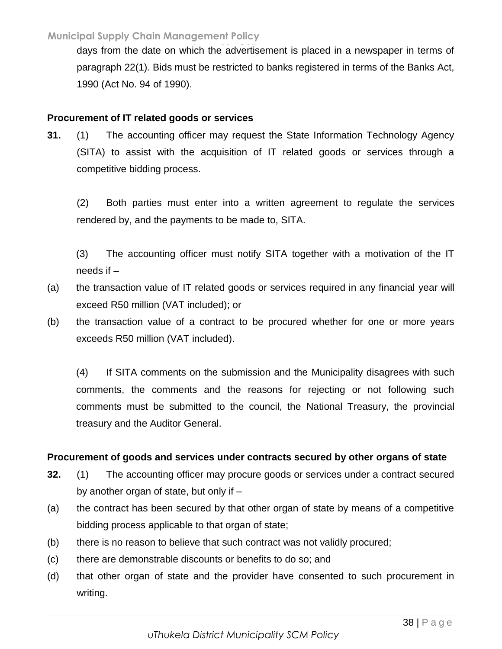days from the date on which the advertisement is placed in a newspaper in terms of paragraph 22(1). Bids must be restricted to banks registered in terms of the Banks Act, 1990 (Act No. 94 of 1990).

#### **Procurement of IT related goods or services**

**31.** (1) The accounting officer may request the State Information Technology Agency (SITA) to assist with the acquisition of IT related goods or services through a competitive bidding process.

(2) Both parties must enter into a written agreement to regulate the services rendered by, and the payments to be made to, SITA.

(3) The accounting officer must notify SITA together with a motivation of the IT needs if –

- (a) the transaction value of IT related goods or services required in any financial year will exceed R50 million (VAT included); or
- (b) the transaction value of a contract to be procured whether for one or more years exceeds R50 million (VAT included).

(4) If SITA comments on the submission and the Municipality disagrees with such comments, the comments and the reasons for rejecting or not following such comments must be submitted to the council, the National Treasury, the provincial treasury and the Auditor General.

## **Procurement of goods and services under contracts secured by other organs of state**

- **32.** (1) The accounting officer may procure goods or services under a contract secured by another organ of state, but only if –
- (a) the contract has been secured by that other organ of state by means of a competitive bidding process applicable to that organ of state;
- (b) there is no reason to believe that such contract was not validly procured;
- (c) there are demonstrable discounts or benefits to do so; and
- (d) that other organ of state and the provider have consented to such procurement in writing.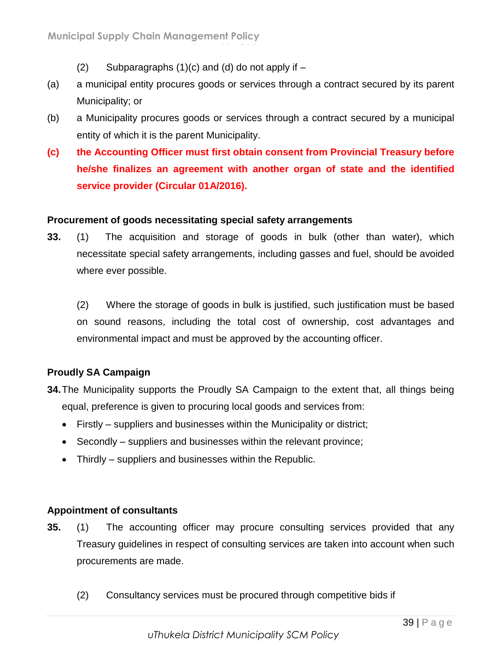(2) Subparagraphs  $(1)(c)$  and  $(d)$  do not apply if  $-$ 

**Page 39 of 37**

- (a) a municipal entity procures goods or services through a contract secured by its parent Municipality; or
- (b) a Municipality procures goods or services through a contract secured by a municipal entity of which it is the parent Municipality.
- **(c) the Accounting Officer must first obtain consent from Provincial Treasury before he/she finalizes an agreement with another organ of state and the identified service provider (Circular 01A/2016).**

## **Procurement of goods necessitating special safety arrangements**

**33.** (1) The acquisition and storage of goods in bulk (other than water), which necessitate special safety arrangements, including gasses and fuel, should be avoided where ever possible.

(2) Where the storage of goods in bulk is justified, such justification must be based on sound reasons, including the total cost of ownership, cost advantages and environmental impact and must be approved by the accounting officer.

## **Proudly SA Campaign**

- **34.**The Municipality supports the Proudly SA Campaign to the extent that, all things being equal, preference is given to procuring local goods and services from:
	- Firstly suppliers and businesses within the Municipality or district;
	- Secondly suppliers and businesses within the relevant province;
	- Thirdly suppliers and businesses within the Republic.

## **Appointment of consultants**

- **35.** (1) The accounting officer may procure consulting services provided that any Treasury guidelines in respect of consulting services are taken into account when such procurements are made.
	- (2) Consultancy services must be procured through competitive bids if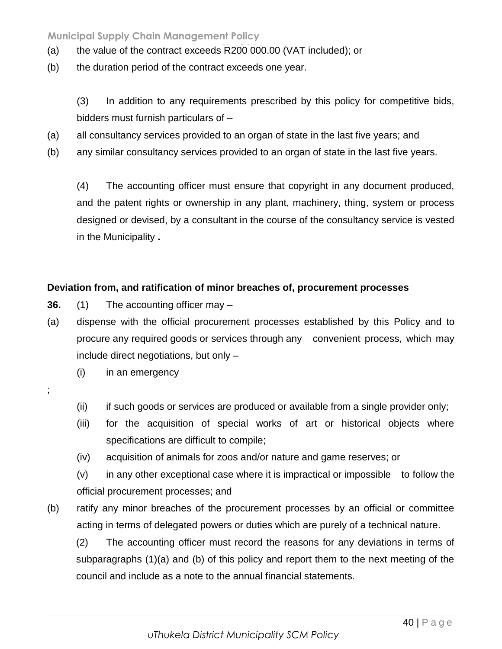- (a) the value of the contract exceeds R 200 000.00 (VAT included); or
- (b) the duration period of the contract exceeds one year.

(3) In addition to any requirements prescribed by this policy for competitive bids, bidders must furnish particulars of –

- (a) all consultancy services provided to an organ of state in the last five years; and
- (b) any similar consultancy services provided to an organ of state in the last five years.

(4) The accounting officer must ensure that copyright in any document produced, and the patent rights or ownership in any plant, machinery, thing, system or process designed or devised, by a consultant in the course of the consultancy service is vested in the Municipality **.**

#### **Deviation from, and ratification of minor breaches of, procurement processes**

- **36.** (1) The accounting officer may –
- (a) dispense with the official procurement processes established by this Policy and to procure any required goods or services through any convenient process, which may include direct negotiations, but only –
	- (i) in an emergency
- ;
- (ii) if such goods or services are produced or available from a single provider only;
- (iii) for the acquisition of special works of art or historical objects where specifications are difficult to compile;
- (iv) acquisition of animals for zoos and/or nature and game reserves; or
- (v) in any other exceptional case where it is impractical or impossible to follow the official procurement processes; and
- (b) ratify any minor breaches of the procurement processes by an official or committee acting in terms of delegated powers or duties which are purely of a technical nature.

(2) The accounting officer must record the reasons for any deviations in terms of subparagraphs (1)(a) and (b) of this policy and report them to the next meeting of the council and include as a note to the annual financial statements.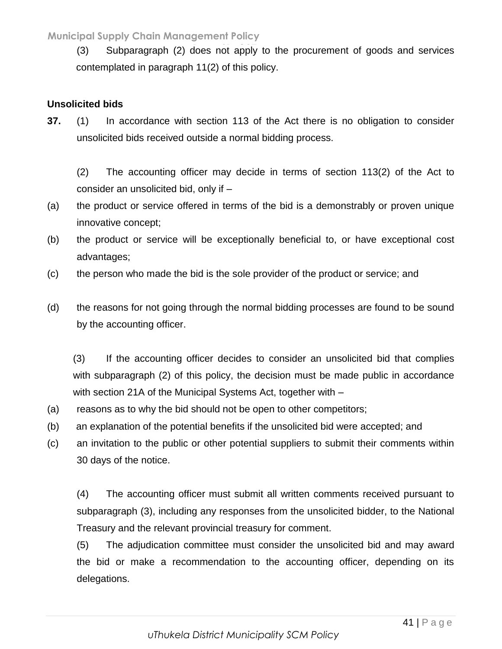(3) Subparagraph (2) does not apply to the procurement of goods and services contemplated in paragraph 11(2) of this policy.

## **Unsolicited bids**

**37.** (1) In accordance with section 113 of the Act there is no obligation to consider unsolicited bids received outside a normal bidding process.

(2) The accounting officer may decide in terms of section 113(2) of the Act to consider an unsolicited bid, only if –

- (a) the product or service offered in terms of the bid is a demonstrably or proven unique innovative concept;
- (b) the product or service will be exceptionally beneficial to, or have exceptional cost advantages;
- (c) the person who made the bid is the sole provider of the product or service; and
- (d) the reasons for not going through the normal bidding processes are found to be sound by the accounting officer.

(3) If the accounting officer decides to consider an unsolicited bid that complies with subparagraph (2) of this policy, the decision must be made public in accordance with section 21A of the Municipal Systems Act, together with –

- (a) reasons as to why the bid should not be open to other competitors;
- (b) an explanation of the potential benefits if the unsolicited bid were accepted; and
- (c) an invitation to the public or other potential suppliers to submit their comments within 30 days of the notice.

(4) The accounting officer must submit all written comments received pursuant to subparagraph (3), including any responses from the unsolicited bidder, to the National Treasury and the relevant provincial treasury for comment.

(5) The adjudication committee must consider the unsolicited bid and may award the bid or make a recommendation to the accounting officer, depending on its delegations.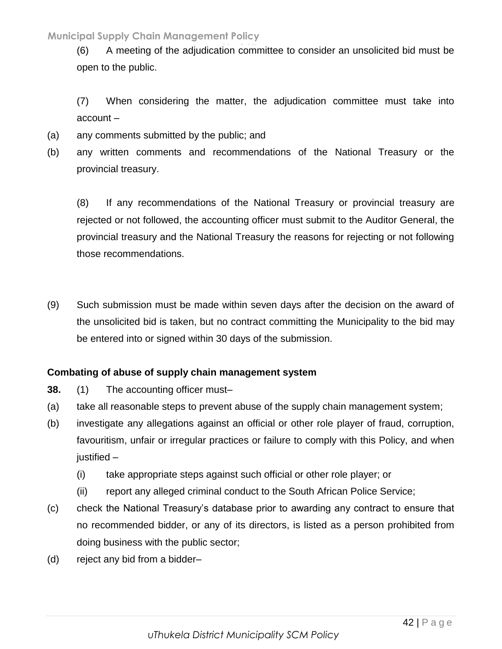(6) A meeting of the adjudication committee to consider an unsolicited bid must be **Page 42 of 37** open to the public.

(7) When considering the matter, the adjudication committee must take into account –

- (a) any comments submitted by the public; and
- (b) any written comments and recommendations of the National Treasury or the provincial treasury.

(8) If any recommendations of the National Treasury or provincial treasury are rejected or not followed, the accounting officer must submit to the Auditor General, the provincial treasury and the National Treasury the reasons for rejecting or not following those recommendations.

(9) Such submission must be made within seven days after the decision on the award of the unsolicited bid is taken, but no contract committing the Municipality to the bid may be entered into or signed within 30 days of the submission.

## **Combating of abuse of supply chain management system**

- **38.** (1) The accounting officer must–
- (a) take all reasonable steps to prevent abuse of the supply chain management system;
- (b) investigate any allegations against an official or other role player of fraud, corruption, favouritism, unfair or irregular practices or failure to comply with this Policy, and when justified –
	- (i) take appropriate steps against such official or other role player; or
	- (ii) report any alleged criminal conduct to the South African Police Service;
- (c) check the National Treasury's database prior to awarding any contract to ensure that no recommended bidder, or any of its directors, is listed as a person prohibited from doing business with the public sector;
- (d) reject any bid from a bidder–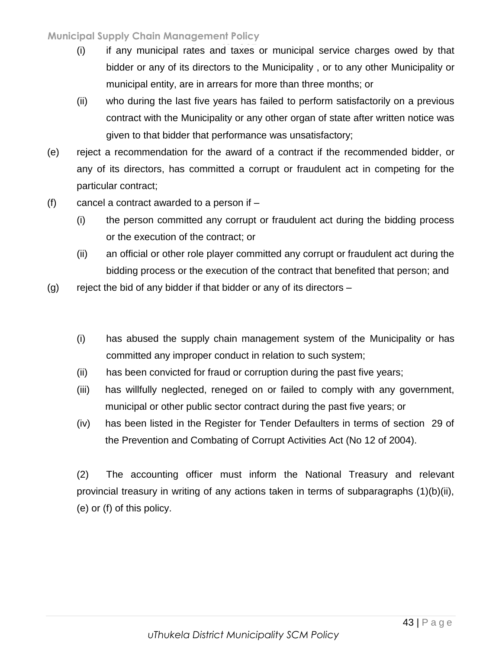- (i) if any municipal rates and taxes or municipal service charges owed by that bidder or any of its directors to the Municipality , or to any other Municipality or municipal entity, are in arrears for more than three months; or
- (ii) who during the last five years has failed to perform satisfactorily on a previous contract with the Municipality or any other organ of state after written notice was given to that bidder that performance was unsatisfactory;
- (e) reject a recommendation for the award of a contract if the recommended bidder, or any of its directors, has committed a corrupt or fraudulent act in competing for the particular contract;
- $(f)$  cancel a contract awarded to a person if  $-$ 
	- (i) the person committed any corrupt or fraudulent act during the bidding process or the execution of the contract; or
	- (ii) an official or other role player committed any corrupt or fraudulent act during the bidding process or the execution of the contract that benefited that person; and
- $(g)$  reject the bid of any bidder if that bidder or any of its directors
	- (i) has abused the supply chain management system of the Municipality or has committed any improper conduct in relation to such system;
	- (ii) has been convicted for fraud or corruption during the past five years;
	- (iii) has willfully neglected, reneged on or failed to comply with any government, municipal or other public sector contract during the past five years; or
	- (iv) has been listed in the Register for Tender Defaulters in terms of section 29 of the Prevention and Combating of Corrupt Activities Act (No 12 of 2004).

(2) The accounting officer must inform the National Treasury and relevant provincial treasury in writing of any actions taken in terms of subparagraphs (1)(b)(ii), (e) or (f) of this policy.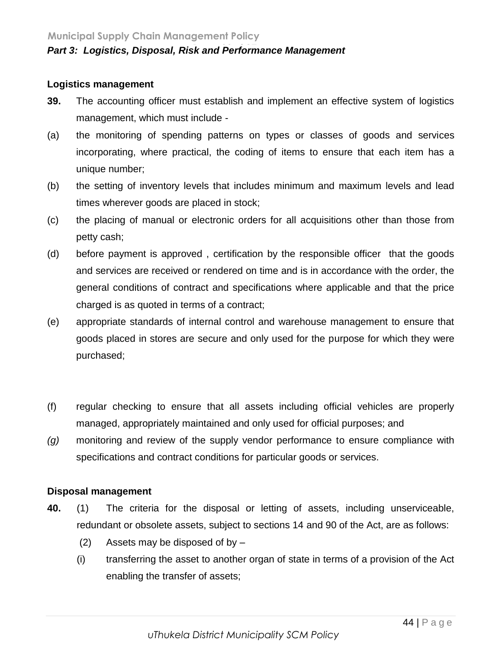#### **Logistics management**

- **39.** The accounting officer must establish and implement an effective system of logistics management, which must include -
- (a) the monitoring of spending patterns on types or classes of goods and services incorporating, where practical, the coding of items to ensure that each item has a unique number;
- (b) the setting of inventory levels that includes minimum and maximum levels and lead times wherever goods are placed in stock;
- (c) the placing of manual or electronic orders for all acquisitions other than those from petty cash;
- (d) before payment is approved , certification by the responsible officer that the goods and services are received or rendered on time and is in accordance with the order, the general conditions of contract and specifications where applicable and that the price charged is as quoted in terms of a contract;
- (e) appropriate standards of internal control and warehouse management to ensure that goods placed in stores are secure and only used for the purpose for which they were purchased;
- (f) regular checking to ensure that all assets including official vehicles are properly managed, appropriately maintained and only used for official purposes; and
- *(g)* monitoring and review of the supply vendor performance to ensure compliance with specifications and contract conditions for particular goods or services.

## **Disposal management**

- **40.** (1) The criteria for the disposal or letting of assets, including unserviceable, redundant or obsolete assets, subject to sections 14 and 90 of the Act, are as follows:
	- (2) Assets may be disposed of by –
	- (i) transferring the asset to another organ of state in terms of a provision of the Act enabling the transfer of assets;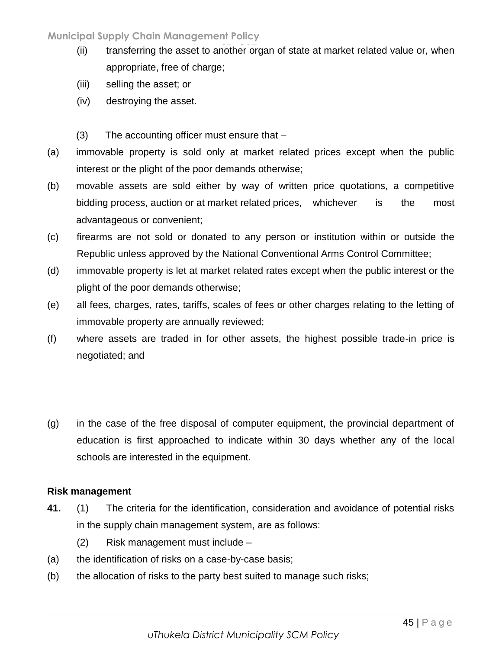- (ii) transferring the asset to another organ of state at market related value or, when appropriate, free of charge;
- (iii) selling the asset; or
- (iv) destroying the asset.
- (3) The accounting officer must ensure that –
- (a) immovable property is sold only at market related prices except when the public interest or the plight of the poor demands otherwise;
- (b) movable assets are sold either by way of written price quotations, a competitive bidding process, auction or at market related prices, whichever is the most advantageous or convenient;
- (c) firearms are not sold or donated to any person or institution within or outside the Republic unless approved by the National Conventional Arms Control Committee;
- (d) immovable property is let at market related rates except when the public interest or the plight of the poor demands otherwise;
- (e) all fees, charges, rates, tariffs, scales of fees or other charges relating to the letting of immovable property are annually reviewed;
- (f) where assets are traded in for other assets, the highest possible trade-in price is negotiated; and
- (g) in the case of the free disposal of computer equipment, the provincial department of education is first approached to indicate within 30 days whether any of the local schools are interested in the equipment.

## **Risk management**

- **41.** (1) The criteria for the identification, consideration and avoidance of potential risks in the supply chain management system, are as follows:
	- (2) Risk management must include –
- (a) the identification of risks on a case-by-case basis;
- (b) the allocation of risks to the party best suited to manage such risks;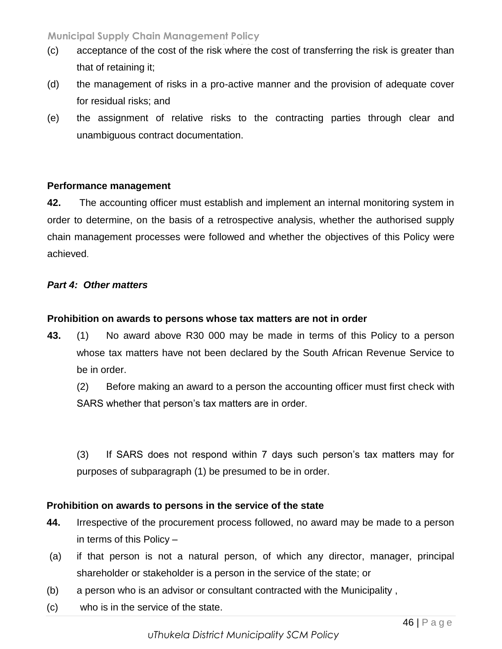- (c) acceptance of the cost of the risk where the cost of transferring the risk is greater than that of retaining it;
- (d) the management of risks in a pro-active manner and the provision of adequate cover for residual risks; and
- (e) the assignment of relative risks to the contracting parties through clear and unambiguous contract documentation.

## **Performance management**

**42.** The accounting officer must establish and implement an internal monitoring system in order to determine, on the basis of a retrospective analysis, whether the authorised supply chain management processes were followed and whether the objectives of this Policy were achieved.

## *Part 4: Other matters*

## **Prohibition on awards to persons whose tax matters are not in order**

- **43.** (1) No award above R30 000 may be made in terms of this Policy to a person whose tax matters have not been declared by the South African Revenue Service to be in order.
	- (2) Before making an award to a person the accounting officer must first check with SARS whether that person's tax matters are in order.

(3) If SARS does not respond within 7 days such person's tax matters may for purposes of subparagraph (1) be presumed to be in order.

## **Prohibition on awards to persons in the service of the state**

- **44.** Irrespective of the procurement process followed, no award may be made to a person in terms of this Policy –
- (a) if that person is not a natural person, of which any director, manager, principal shareholder or stakeholder is a person in the service of the state; or
- (b) a person who is an advisor or consultant contracted with the Municipality ,
- (c) who is in the service of the state.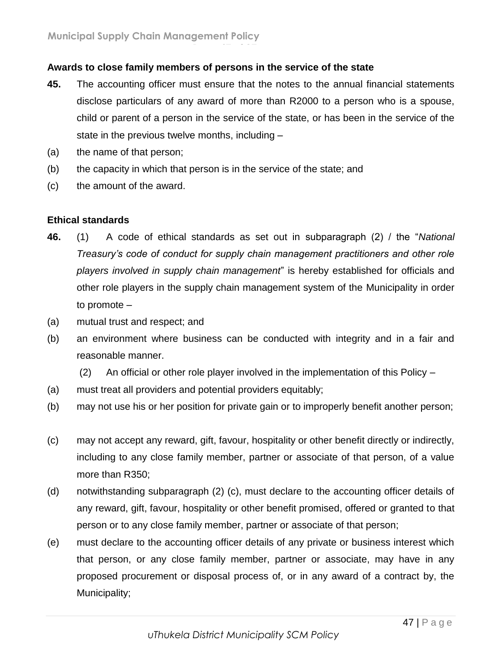## **Awards to close family members of persons in the service of the state**

**Page 47 of 37**

- **45.** The accounting officer must ensure that the notes to the annual financial statements disclose particulars of any award of more than R2000 to a person who is a spouse, child or parent of a person in the service of the state, or has been in the service of the state in the previous twelve months, including –
- (a) the name of that person;
- (b) the capacity in which that person is in the service of the state; and
- (c) the amount of the award.

#### **Ethical standards**

- **46.** (1) A code of ethical standards as set out in subparagraph (2) / the "*National Treasury's code of conduct for supply chain management practitioners and other role players involved in supply chain management*" is hereby established for officials and other role players in the supply chain management system of the Municipality in order to promote –
- (a) mutual trust and respect; and
- (b) an environment where business can be conducted with integrity and in a fair and reasonable manner.
	- (2) An official or other role player involved in the implementation of this Policy –
- (a) must treat all providers and potential providers equitably;
- (b) may not use his or her position for private gain or to improperly benefit another person;
- (c) may not accept any reward, gift, favour, hospitality or other benefit directly or indirectly, including to any close family member, partner or associate of that person, of a value more than R350;
- (d) notwithstanding subparagraph (2) (c), must declare to the accounting officer details of any reward, gift, favour, hospitality or other benefit promised, offered or granted to that person or to any close family member, partner or associate of that person;
- (e) must declare to the accounting officer details of any private or business interest which that person, or any close family member, partner or associate, may have in any proposed procurement or disposal process of, or in any award of a contract by, the Municipality;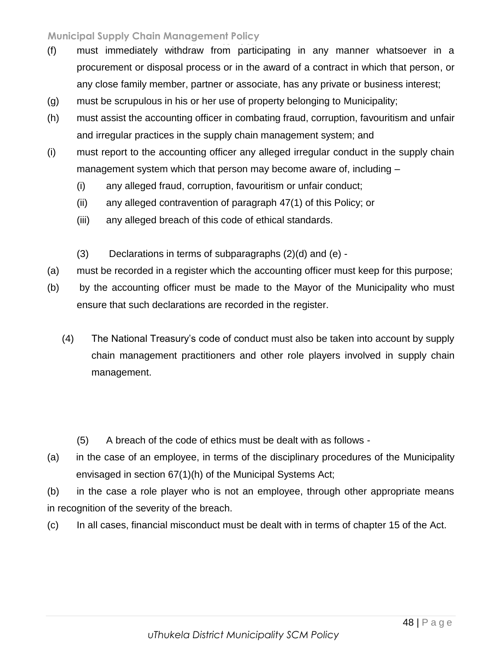- (f) must immediately withdraw from participating in any manner whatsoever in a **Page 48 of 37** procurement or disposal process or in the award of a contract in which that person, or any close family member, partner or associate, has any private or business interest;
- (g) must be scrupulous in his or her use of property belonging to Municipality;
- (h) must assist the accounting officer in combating fraud, corruption, favouritism and unfair and irregular practices in the supply chain management system; and
- (i) must report to the accounting officer any alleged irregular conduct in the supply chain management system which that person may become aware of, including –
	- (i) any alleged fraud, corruption, favouritism or unfair conduct;
	- (ii) any alleged contravention of paragraph 47(1) of this Policy; or
	- (iii) any alleged breach of this code of ethical standards.
	- (3) Declarations in terms of subparagraphs (2)(d) and (e) -
- (a) must be recorded in a register which the accounting officer must keep for this purpose;
- (b) by the accounting officer must be made to the Mayor of the Municipality who must ensure that such declarations are recorded in the register.
	- (4) The National Treasury's code of conduct must also be taken into account by supply chain management practitioners and other role players involved in supply chain management.
		- (5) A breach of the code of ethics must be dealt with as follows -
- (a) in the case of an employee, in terms of the disciplinary procedures of the Municipality envisaged in section 67(1)(h) of the Municipal Systems Act;
- (b) in the case a role player who is not an employee, through other appropriate means in recognition of the severity of the breach.
- (c) In all cases, financial misconduct must be dealt with in terms of chapter 15 of the Act.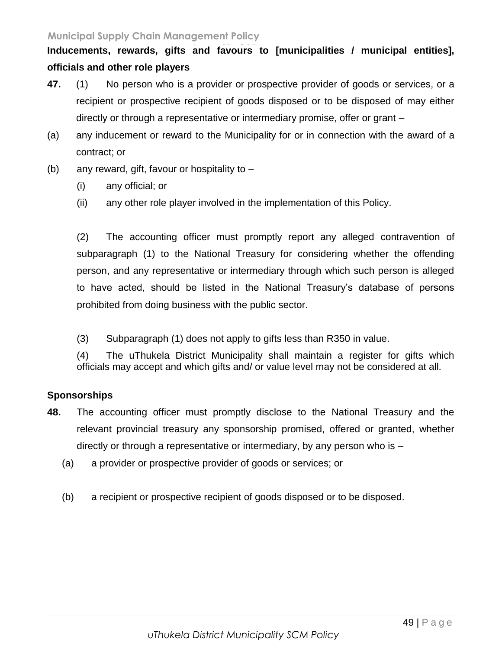## Inducements, rewards, gifts and favours to [municipalities / municipal entities], **officials and other role players**

- **47.** (1) No person who is a provider or prospective provider of goods or services, or a recipient or prospective recipient of goods disposed or to be disposed of may either directly or through a representative or intermediary promise, offer or grant –
- (a) any inducement or reward to the Municipality for or in connection with the award of a contract; or
- (b) any reward, gift, favour or hospitality to
	- (i) any official; or
	- (ii) any other role player involved in the implementation of this Policy.

(2) The accounting officer must promptly report any alleged contravention of subparagraph (1) to the National Treasury for considering whether the offending person, and any representative or intermediary through which such person is alleged to have acted, should be listed in the National Treasury's database of persons prohibited from doing business with the public sector.

(3) Subparagraph (1) does not apply to gifts less than R350 in value.

(4) The uThukela District Municipality shall maintain a register for gifts which officials may accept and which gifts and/ or value level may not be considered at all.

#### **Sponsorships**

- **48.** The accounting officer must promptly disclose to the National Treasury and the relevant provincial treasury any sponsorship promised, offered or granted, whether directly or through a representative or intermediary, by any person who is –
	- (a) a provider or prospective provider of goods or services; or
	- (b) a recipient or prospective recipient of goods disposed or to be disposed.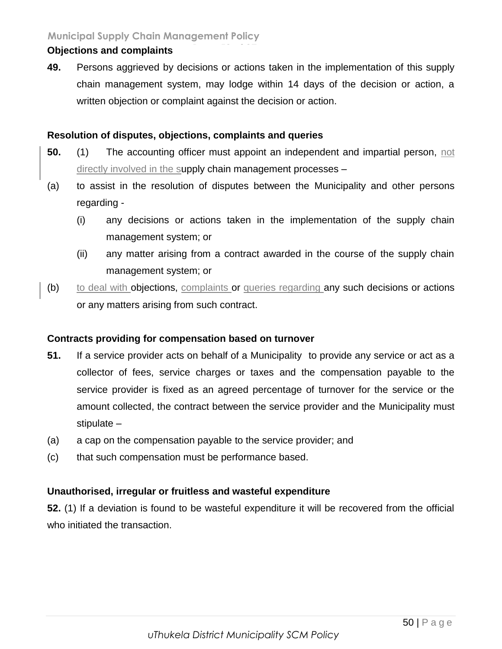#### **Objections and complaints**

**49.** Persons aggrieved by decisions or actions taken in the implementation of this supply chain management system, may lodge within 14 days of the decision or action, a written objection or complaint against the decision or action.

## **Resolution of disputes, objections, complaints and queries**

- **50.** (1) The accounting officer must appoint an independent and impartial person, not directly involved in the supply chain management processes –
- (a) to assist in the resolution of disputes between the Municipality and other persons regarding -
	- (i) any decisions or actions taken in the implementation of the supply chain management system; or
	- (ii) any matter arising from a contract awarded in the course of the supply chain management system; or
- (b) to deal with objections, complaints or queries regarding any such decisions or actions or any matters arising from such contract.

#### **Contracts providing for compensation based on turnover**

- **51.** If a service provider acts on behalf of a Municipality to provide any service or act as a collector of fees, service charges or taxes and the compensation payable to the service provider is fixed as an agreed percentage of turnover for the service or the amount collected, the contract between the service provider and the Municipality must stipulate –
- (a) a cap on the compensation payable to the service provider; and
- (c) that such compensation must be performance based.

## **Unauthorised, irregular or fruitless and wasteful expenditure**

**52.** (1) If a deviation is found to be wasteful expenditure it will be recovered from the official who initiated the transaction.